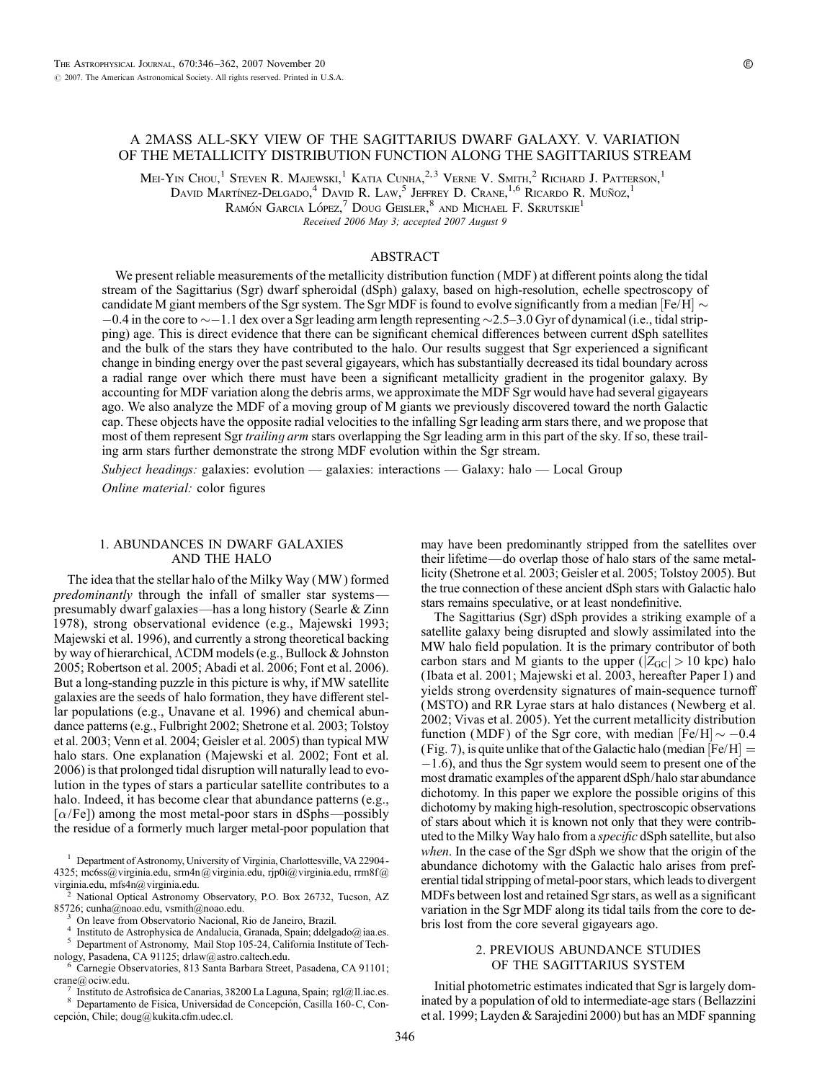# A 2MASS ALL-SKY VIEW OF THE SAGITTARIUS DWARF GALAXY. V. VARIATION OF THE METALLICITY DISTRIBUTION FUNCTION ALONG THE SAGITTARIUS STREAM

Mei-Yin Chou,<sup>1</sup> Steven R. Majewski,<sup>1</sup> Katia Cunha,<sup>2,3</sup> Verne V. Smith,<sup>2</sup> Richard J. Patterson,<sup>1</sup>

David Martínez-Delgado,<sup>4</sup> David R. Law,<sup>5</sup> Jeffrey D. Crane, <sup>1,6</sup> Ricardo R. Muñoz, <sup>1</sup>

RAMÓN GARCIA LÓPEZ, $^7$  Doug Geisler,  $^8$  and Michael F. Skrutskie<sup>1</sup>

Received 2006 May 3; accepted 2007 August 9

## ABSTRACT

We present reliable measurements of the metallicity distribution function (MDF ) at different points along the tidal stream of the Sagittarius (Sgr) dwarf spheroidal (dSph) galaxy, based on high-resolution, echelle spectroscopy of candidate M giant members of the Sgr system. The Sgr MDF is found to evolve significantly from a median [Fe/H]  $\sim$  $-0.4$  in the core to  $\sim$  -1.1 dex over a Sgr leading arm length representing  $\sim$  2.5-3.0 Gyr of dynamical (i.e., tidal stripping) age. This is direct evidence that there can be significant chemical differences between current dSph satellites and the bulk of the stars they have contributed to the halo. Our results suggest that Sgr experienced a significant change in binding energy over the past several gigayears, which has substantially decreased its tidal boundary across a radial range over which there must have been a significant metallicity gradient in the progenitor galaxy. By accounting for MDF variation along the debris arms, we approximate the MDF Sgr would have had several gigayears ago. We also analyze the MDF of a moving group of M giants we previously discovered toward the north Galactic cap. These objects have the opposite radial velocities to the infalling Sgr leading arm stars there, and we propose that most of them represent Sgr trailing arm stars overlapping the Sgr leading arm in this part of the sky. If so, these trailing arm stars further demonstrate the strong MDF evolution within the Sgr stream.

Subject headings: galaxies: evolution — galaxies: interactions — Galaxy: halo — Local Group Online material: color figures

# 1. ABUNDANCES IN DWARF GALAXIES AND THE HALO

The idea that the stellar halo of the Milky Way (MW ) formed predominantly through the infall of smaller star systems presumably dwarf galaxies—has a long history (Searle & Zinn 1978), strong observational evidence (e.g., Majewski 1993; Majewski et al. 1996), and currently a strong theoretical backing by way of hierarchical,  $\Lambda$ CDM models (e.g., Bullock & Johnston 2005; Robertson et al. 2005; Abadi et al. 2006; Font et al. 2006). But a long-standing puzzle in this picture is why, if MW satellite galaxies are the seeds of halo formation, they have different stellar populations (e.g., Unavane et al. 1996) and chemical abundance patterns (e.g., Fulbright 2002; Shetrone et al. 2003; Tolstoy et al. 2003; Venn et al. 2004; Geisler et al. 2005) than typical MW halo stars. One explanation (Majewski et al. 2002; Font et al. 2006) is that prolonged tidal disruption will naturally lead to evolution in the types of stars a particular satellite contributes to a halo. Indeed, it has become clear that abundance patterns (e.g.,  $[\alpha/Fe]$ ) among the most metal-poor stars in dSphs—possibly the residue of a formerly much larger metal-poor population that

<sup>1</sup> Department of Astronomy, University of Virginia, Charlottesville, VA 22904-4325; mc6ss@virginia.edu, srm4n@ virginia.edu, rjp0i@ virginia.edu, rrm8f@ virginia.edu, mfs4n@ virginia.edu.

<sup>2</sup> National Optical Astronomy Observatory, P.O. Box 26732, Tucson, AZ 85726; cunha@noao.edu, vsmith@noao.edu.

<sup>3</sup> On leave from Observatorio Nacional, Rio de Janeiro, Brazil.<br><sup>4</sup> Instituto de Astrophysica de Andalucia, Granada, Spain; ddelgado@iaa.es.<br><sup>5</sup> Department of Astronomy, Mail Stop 105-24, California Institute of Technolo

<sup>6</sup> Carnegie Observatories, 813 Santa Barbara Street, Pasadena, CA 91101; crane@ociw.edu.

 $^7$  Instituto de Astrofisica de Canarias, 38200 La Laguna, Spain; rgl@ll.iac.es. 8 Departamento de Fisica, Universidad de Concepción, Casilla 160-C, Con-

cepción, Chile; doug@kukita.cfm.udec.cl.

may have been predominantly stripped from the satellites over their lifetime—do overlap those of halo stars of the same metallicity (Shetrone et al. 2003; Geisler et al. 2005; Tolstoy 2005). But the true connection of these ancient dSph stars with Galactic halo stars remains speculative, or at least nondefinitive.

The Sagittarius (Sgr) dSph provides a striking example of a satellite galaxy being disrupted and slowly assimilated into the MW halo field population. It is the primary contributor of both carbon stars and M giants to the upper ( $|Z_{\text{GC}}| > 10$  kpc) halo (Ibata et al. 2001; Majewski et al. 2003, hereafter Paper I) and yields strong overdensity signatures of main-sequence turnoff (MSTO) and RR Lyrae stars at halo distances (Newberg et al. 2002; Vivas et al. 2005). Yet the current metallicity distribution function (MDF) of the Sgr core, with median  $[Fe/H] \sim -0.4$ (Fig. 7), is quite unlike that of the Galactic halo (median  $[Fe/H] =$  $-1.6$ ), and thus the Sgr system would seem to present one of the most dramatic examples of the apparent dSph/halo star abundance dichotomy. In this paper we explore the possible origins of this dichotomy by making high-resolution, spectroscopic observations of stars about which it is known not only that they were contributed to the Milky Way halo from a specific dSph satellite, but also when. In the case of the Sgr dSph we show that the origin of the abundance dichotomy with the Galactic halo arises from preferential tidal stripping of metal-poor stars, which leads to divergent MDFs between lost and retained Sgr stars, as well as a significant variation in the Sgr MDF along its tidal tails from the core to debris lost from the core several gigayears ago.

## 2. PREVIOUS ABUNDANCE STUDIES OF THE SAGITTARIUS SYSTEM

Initial photometric estimates indicated that Sgr is largely dominated by a population of old to intermediate-age stars (Bellazzini et al. 1999; Layden & Sarajedini 2000) but has an MDF spanning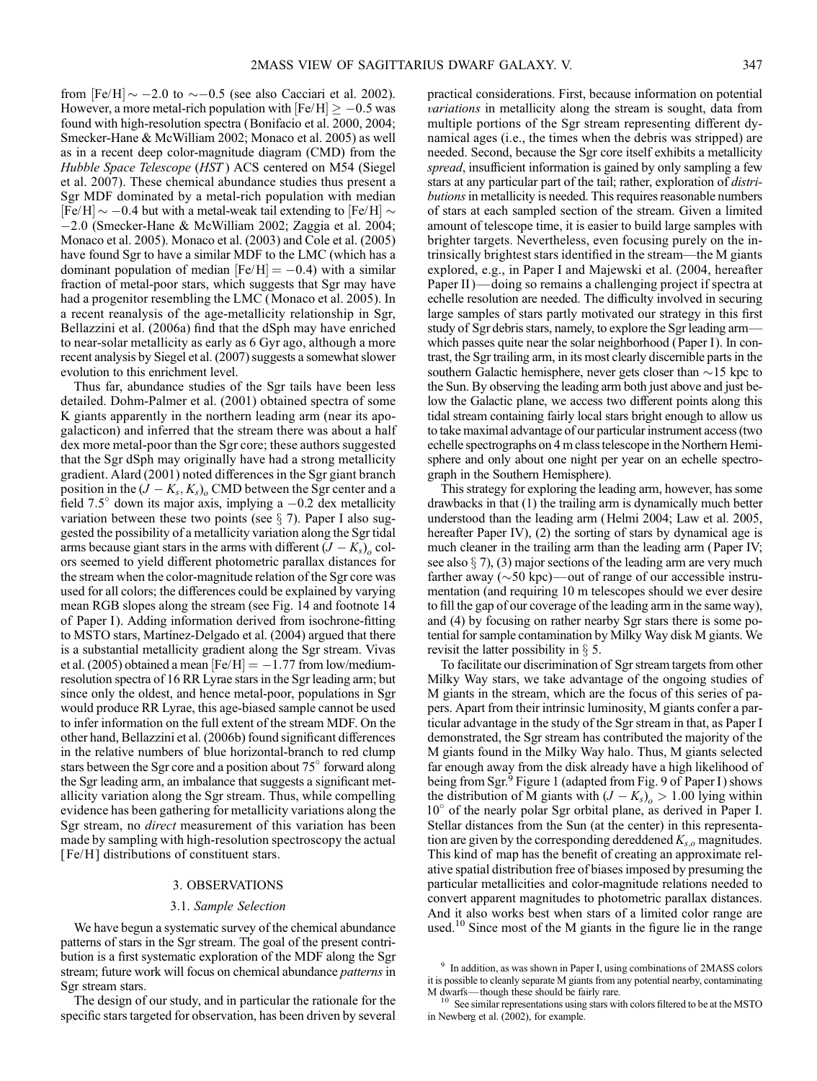from  $[Fe/H] \sim -2.0$  to  $\sim -0.5$  (see also Cacciari et al. 2002). However, a more metal-rich population with  $[Fe/H] \ge -0.5$  was found with high-resolution spectra (Bonifacio et al. 2000, 2004; Smecker-Hane & McWilliam 2002; Monaco et al. 2005) as well as in a recent deep color-magnitude diagram (CMD) from the Hubble Space Telescope (HST ) ACS centered on M54 (Siegel et al. 2007). These chemical abundance studies thus present a Sgr MDF dominated by a metal-rich population with median [Fe/H]  $\sim -0.4$  but with a metal-weak tail extending to [Fe/H]  $\sim$ 2:0 (Smecker-Hane & McWilliam 2002; Zaggia et al. 2004; Monaco et al. 2005). Monaco et al. (2003) and Cole et al. (2005) have found Sgr to have a similar MDF to the LMC (which has a dominant population of median  $[Fe/H] = -0.4$ ) with a similar fraction of metal-poor stars, which suggests that Sgr may have had a progenitor resembling the LMC (Monaco et al. 2005). In a recent reanalysis of the age-metallicity relationship in Sgr, Bellazzini et al. (2006a) find that the dSph may have enriched to near-solar metallicity as early as 6 Gyr ago, although a more recent analysis by Siegel et al. (2007) suggests a somewhat slower evolution to this enrichment level.

Thus far, abundance studies of the Sgr tails have been less detailed. Dohm-Palmer et al. (2001) obtained spectra of some K giants apparently in the northern leading arm (near its apogalacticon) and inferred that the stream there was about a half dex more metal-poor than the Sgr core; these authors suggested that the Sgr dSph may originally have had a strong metallicity gradient. Alard (2001) noted differences in the Sgr giant branch position in the  $(J - K_s, K_s)$ <sub>o</sub> CMD between the Sgr center and a field 7.5 $^{\circ}$  down its major axis, implying a  $-0.2$  dex metallicity variation between these two points (see  $\S$  7). Paper I also suggested the possibility of a metallicity variation along the Sgr tidal arms because giant stars in the arms with different  $(J - K_s)_{\alpha}$  colors seemed to yield different photometric parallax distances for the stream when the color-magnitude relation of the Sgr core was used for all colors; the differences could be explained by varying mean RGB slopes along the stream (see Fig. 14 and footnote 14 of Paper I). Adding information derived from isochrone-fitting to MSTO stars, Martínez-Delgado et al. (2004) argued that there is a substantial metallicity gradient along the Sgr stream. Vivas et al. (2005) obtained a mean  $[Fe/H] = -1.77$  from low/mediumresolution spectra of 16 RR Lyrae stars in the Sgr leading arm; but since only the oldest, and hence metal-poor, populations in Sgr would produce RR Lyrae, this age-biased sample cannot be used to infer information on the full extent of the stream MDF. On the other hand, Bellazzini et al. (2006b) found significant differences in the relative numbers of blue horizontal-branch to red clump stars between the Sgr core and a position about  $75^{\circ}$  forward along the Sgr leading arm, an imbalance that suggests a significant metallicity variation along the Sgr stream. Thus, while compelling evidence has been gathering for metallicity variations along the Sgr stream, no direct measurement of this variation has been made by sampling with high-resolution spectroscopy the actual [Fe/H] distributions of constituent stars.

#### 3. OBSERVATIONS

#### 3.1. Sample Selection

We have begun a systematic survey of the chemical abundance patterns of stars in the Sgr stream. The goal of the present contribution is a first systematic exploration of the MDF along the Sgr stream; future work will focus on chemical abundance *patterns* in Sgr stream stars.

The design of our study, and in particular the rationale for the specific stars targeted for observation, has been driven by several

practical considerations. First, because information on potential variations in metallicity along the stream is sought, data from multiple portions of the Sgr stream representing different dynamical ages (i.e., the times when the debris was stripped) are needed. Second, because the Sgr core itself exhibits a metallicity spread, insufficient information is gained by only sampling a few stars at any particular part of the tail; rather, exploration of distributions in metallicity is needed. This requires reasonable numbers of stars at each sampled section of the stream. Given a limited amount of telescope time, it is easier to build large samples with brighter targets. Nevertheless, even focusing purely on the intrinsically brightest stars identified in the stream—the M giants explored, e.g., in Paper I and Majewski et al. (2004, hereafter Paper II)—doing so remains a challenging project if spectra at echelle resolution are needed. The difficulty involved in securing large samples of stars partly motivated our strategy in this first study of Sgr debris stars, namely, to explore the Sgr leading arm which passes quite near the solar neighborhood (Paper I). In contrast, the Sgr trailing arm, in its most clearly discernible parts in the southern Galactic hemisphere, never gets closer than  $\sim$ 15 kpc to the Sun. By observing the leading arm both just above and just below the Galactic plane, we access two different points along this tidal stream containing fairly local stars bright enough to allow us to take maximal advantage of our particular instrument access (two echelle spectrographs on 4 m class telescope in the Northern Hemisphere and only about one night per year on an echelle spectrograph in the Southern Hemisphere).

This strategy for exploring the leading arm, however, has some drawbacks in that (1) the trailing arm is dynamically much better understood than the leading arm (Helmi 2004; Law et al. 2005, hereafter Paper IV), (2) the sorting of stars by dynamical age is much cleaner in the trailing arm than the leading arm (Paper IV; see also  $\S$  7), (3) major sections of the leading arm are very much farther away  $(\sim 50 \text{ kpc})$  —out of range of our accessible instrumentation (and requiring 10 m telescopes should we ever desire to fill the gap of our coverage of the leading arm in the same way), and (4) by focusing on rather nearby Sgr stars there is some potential for sample contamination by Milky Way disk M giants. We revisit the latter possibility in  $\S$  5.

To facilitate our discrimination of Sgr stream targets from other Milky Way stars, we take advantage of the ongoing studies of M giants in the stream, which are the focus of this series of papers. Apart from their intrinsic luminosity, M giants confer a particular advantage in the study of the Sgr stream in that, as Paper I demonstrated, the Sgr stream has contributed the majority of the M giants found in the Milky Way halo. Thus, M giants selected far enough away from the disk already have a high likelihood of being from Sgr.<sup>9</sup> Figure 1 (adapted from Fig. 9 of Paper I) shows the distribution of M giants with  $(J - K_s)_{\alpha} > 1.00$  lying within 10° of the nearly polar Sgr orbital plane, as derived in Paper I. Stellar distances from the Sun (at the center) in this representation are given by the corresponding dereddened  $K_{s,o}$  magnitudes. This kind of map has the benefit of creating an approximate relative spatial distribution free of biases imposed by presuming the particular metallicities and color-magnitude relations needed to convert apparent magnitudes to photometric parallax distances. And it also works best when stars of a limited color range are used.<sup>10</sup> Since most of the M giants in the figure lie in the range

<sup>9</sup> In addition, as was shown in Paper I, using combinations of 2MASS colors it is possible to cleanly separate M giants from any potential nearby, contaminating M dwarfs—though these should be fairly rare.  $10$  See similar representations using stars with colors filtered to be at the MSTO

in Newberg et al. (2002), for example.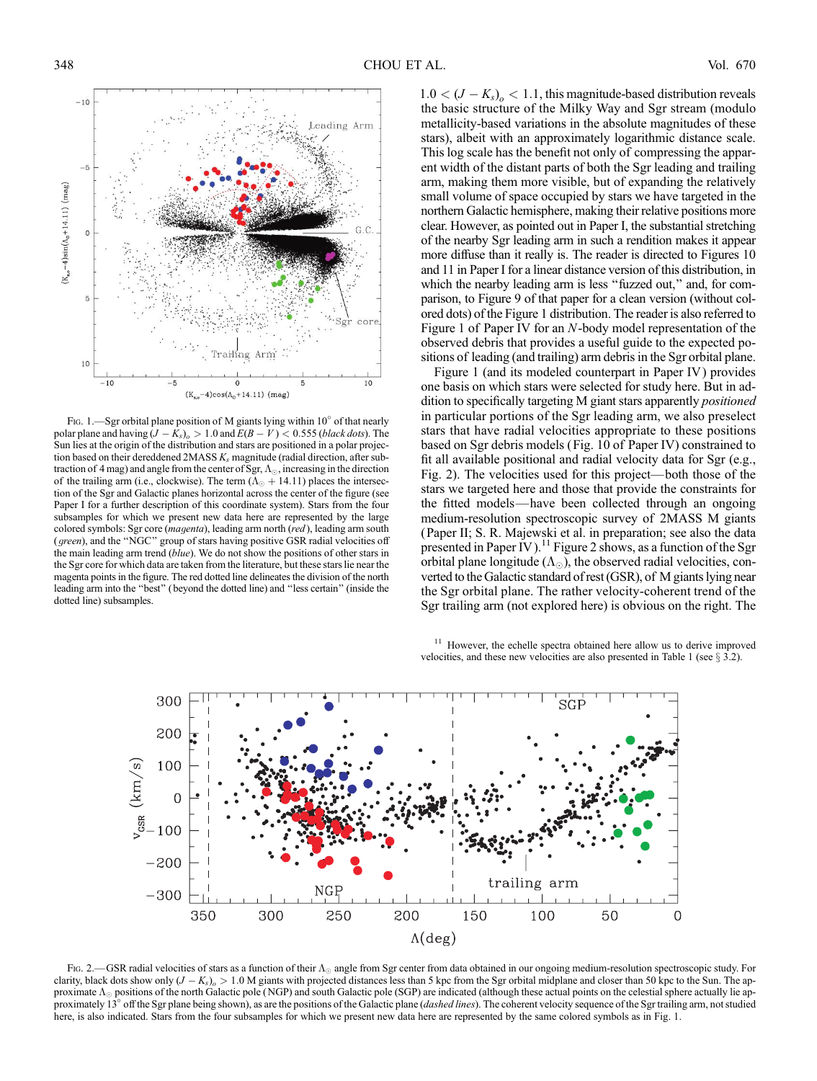

Fig. 1.—Sgr orbital plane position of M giants lying within  $10^{\circ}$  of that nearly polar plane and having  $(J - K_s)_{o} > 1.0$  and  $E(B - V) < 0.555$  (black dots). The Sun lies at the origin of the distribution and stars are positioned in a polar projection based on their dereddened  $2MASS K<sub>s</sub>$  magnitude (radial direction, after subtraction of 4 mag) and angle from the center of Sgr,  $\Lambda_{\odot}$  , increasing in the direction of the trailing arm (i.e., clockwise). The term  $(\Lambda_{\odot} + 14.11)$  places the intersection of the Sgr and Galactic planes horizontal across the center of the figure (see Paper I for a further description of this coordinate system). Stars from the four subsamples for which we present new data here are represented by the large colored symbols: Sgr core (magenta), leading arm north (red), leading arm south (green), and the ''NGC'' group of stars having positive GSR radial velocities off the main leading arm trend (blue). We do not show the positions of other stars in the Sgr core for which data are taken from the literature, but these stars lie near the magenta points in the figure. The red dotted line delineates the division of the north leading arm into the ''best'' ( beyond the dotted line) and ''less certain'' (inside the dotted line) subsamples.

 $1.0 < (J - K_s)_{o} < 1.1$ , this magnitude-based distribution reveals the basic structure of the Milky Way and Sgr stream (modulo metallicity-based variations in the absolute magnitudes of these stars), albeit with an approximately logarithmic distance scale. This log scale has the benefit not only of compressing the apparent width of the distant parts of both the Sgr leading and trailing arm, making them more visible, but of expanding the relatively small volume of space occupied by stars we have targeted in the northern Galactic hemisphere, making their relative positions more clear. However, as pointed out in Paper I, the substantial stretching of the nearby Sgr leading arm in such a rendition makes it appear more diffuse than it really is. The reader is directed to Figures 10 and 11 in Paper I for a linear distance version of this distribution, in which the nearby leading arm is less "fuzzed out," and, for comparison, to Figure 9 of that paper for a clean version (without colored dots) of the Figure 1 distribution. The reader is also referred to Figure 1 of Paper IV for an N-body model representation of the observed debris that provides a useful guide to the expected positions of leading (and trailing) arm debris in the Sgr orbital plane.

Figure 1 (and its modeled counterpart in Paper IV) provides one basis on which stars were selected for study here. But in addition to specifically targeting M giant stars apparently positioned in particular portions of the Sgr leading arm, we also preselect stars that have radial velocities appropriate to these positions based on Sgr debris models (Fig. 10 of Paper IV) constrained to fit all available positional and radial velocity data for Sgr (e.g., Fig. 2). The velocities used for this project—both those of the stars we targeted here and those that provide the constraints for the fitted models—have been collected through an ongoing medium-resolution spectroscopic survey of 2MASS M giants (Paper II; S. R. Majewski et al. in preparation; see also the data presented in Paper IV).<sup>11</sup> Figure 2 shows, as a function of the Sgr orbital plane longitude  $(\Lambda_{\odot})$ , the observed radial velocities, converted to the Galactic standard of rest (GSR), of M giants lying near the Sgr orbital plane. The rather velocity-coherent trend of the Sgr trailing arm (not explored here) is obvious on the right. The

<sup>11</sup> However, the echelle spectra obtained here allow us to derive improved velocities, and these new velocities are also presented in Table 1 (see  $\S$  3.2).



Fig. 2.—GSR radial velocities of stars as a function of their  $\Lambda_{\odot}$  angle from Sgr center from data obtained in our ongoing medium-resolution spectroscopic study. For clarity, black dots show only  $(J - K_s)_{\rho} > 1.0$  M giants with projected distances less than 5 kpc from the Sgr orbital midplane and closer than 50 kpc to the Sun. The approximate  $\Lambda_{\odot}$  positions of the north Galactic pole (NGP) and south Galactic pole (SGP) are indicated (although these actual points on the celestial sphere actually lie approximately 13° off the Sgr plane being shown), as are the positions of the Galactic plane (dashed lines). The coherent velocity sequence of the Sgr trailing arm, not studied here, is also indicated. Stars from the four subsamples for which we present new data here are represented by the same colored symbols as in Fig. 1.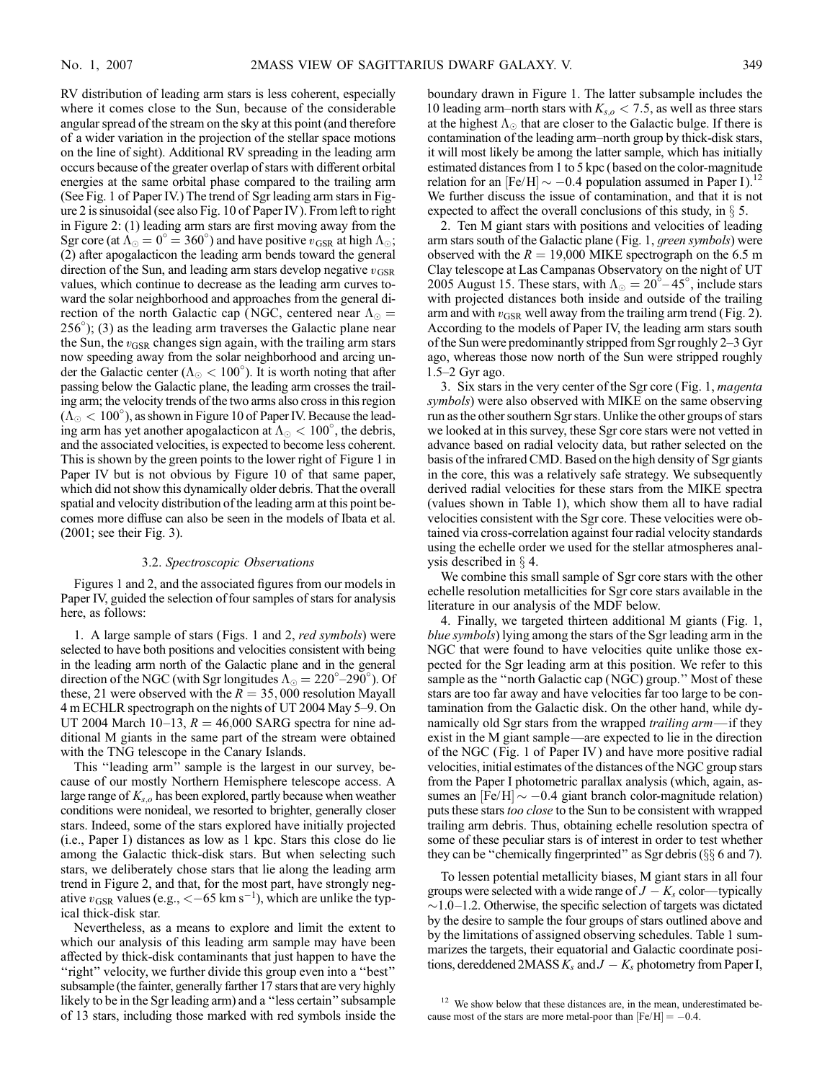RV distribution of leading arm stars is less coherent, especially where it comes close to the Sun, because of the considerable angular spread of the stream on the sky at this point (and therefore of a wider variation in the projection of the stellar space motions on the line of sight). Additional RV spreading in the leading arm occurs because of the greater overlap of stars with different orbital energies at the same orbital phase compared to the trailing arm (See Fig. 1 of Paper IV.) The trend of Sgr leading arm stars in Figure 2 is sinusoidal (see also Fig. 10 of Paper IV ). From left to right in Figure 2: (1) leading arm stars are first moving away from the Sgr core (at  $\Lambda_{\odot} = 0^{\circ} = 360^{\circ}$ ) and have positive  $v_{\text{GSR}}$  at high  $\Lambda_{\odot}$ ; (2) after apogalacticon the leading arm bends toward the general direction of the Sun, and leading arm stars develop negative  $v_{\text{GSR}}$ values, which continue to decrease as the leading arm curves toward the solar neighborhood and approaches from the general direction of the north Galactic cap (NGC, centered near  $\Lambda_{\odot}$  = 256 ); (3) as the leading arm traverses the Galactic plane near the Sun, the  $v_{\text{GSR}}$  changes sign again, with the trailing arm stars now speeding away from the solar neighborhood and arcing under the Galactic center ( $\Lambda_{\odot} < 100^{\circ}$ ). It is worth noting that after passing below the Galactic plane, the leading arm crosses the trailing arm; the velocity trends of the two arms also cross in this region  $({\rm \Lambda_{\odot}} < 100^{\circ})$ , as shown in Figure 10 of Paper IV. Because the leading arm has yet another apogalacticon at  $\Lambda_{\odot} < 100^{\circ}$ , the debris, and the associated velocities, is expected to become less coherent. This is shown by the green points to the lower right of Figure 1 in Paper IV but is not obvious by Figure 10 of that same paper, which did not show this dynamically older debris. That the overall spatial and velocity distribution of the leading arm at this point becomes more diffuse can also be seen in the models of Ibata et al. (2001; see their Fig. 3).

## 3.2. Spectroscopic Observations

Figures 1 and 2, and the associated figures from our models in Paper IV, guided the selection of four samples of stars for analysis here, as follows:

1. A large sample of stars (Figs. 1 and 2, red symbols) were selected to have both positions and velocities consistent with being in the leading arm north of the Galactic plane and in the general direction of the NGC (with Sgr longitudes  $\Lambda_{\odot} = 220^{\circ} - 290^{\circ}$ ). Of these, 21 were observed with the  $R = 35,000$  resolution Mayall 4 m ECHLR spectrograph on the nights of UT 2004 May 5–9. On UT 2004 March 10–13,  $R = 46,000$  SARG spectra for nine additional M giants in the same part of the stream were obtained with the TNG telescope in the Canary Islands.

This ''leading arm'' sample is the largest in our survey, because of our mostly Northern Hemisphere telescope access. A large range of  $K_{s,o}$  has been explored, partly because when weather conditions were nonideal, we resorted to brighter, generally closer stars. Indeed, some of the stars explored have initially projected  $(i.e., Paper I) distances as low as 1 kpc. Stars this close do lie$ among the Galactic thick-disk stars. But when selecting such stars, we deliberately chose stars that lie along the leading arm trend in Figure 2, and that, for the most part, have strongly negative  $v_{\text{GSR}}$  values (e.g.,  $<-65 \text{ km s}^{-1}$ ), which are unlike the typical thick-disk star.

Nevertheless, as a means to explore and limit the extent to which our analysis of this leading arm sample may have been affected by thick-disk contaminants that just happen to have the ''right'' velocity, we further divide this group even into a ''best'' subsample (the fainter, generally farther 17 stars that are very highly likely to be in the Sgr leading arm) and a ''less certain'' subsample of 13 stars, including those marked with red symbols inside the boundary drawn in Figure 1. The latter subsample includes the 10 leading arm–north stars with  $K_{s,o} < 7.5$ , as well as three stars at the highest  $\Lambda_{\odot}$  that are closer to the Galactic bulge. If there is contamination of the leading arm-north group by thick-disk stars, it will most likely be among the latter sample, which has initially estimated distances from 1 to 5 kpc (based on the color-magnitude relation for an  $[Fe/H] \sim -0.4$  population assumed in Paper I).<sup>12</sup> We further discuss the issue of contamination, and that it is not expected to affect the overall conclusions of this study, in  $\S$  5.

2. Ten M giant stars with positions and velocities of leading arm stars south of the Galactic plane (Fig. 1, green symbols) were observed with the  $R = 19,000$  MIKE spectrograph on the 6.5 m Clay telescope at Las Campanas Observatory on the night of UT 2005 August 15. These stars, with  $\Lambda_{\odot} = 20^{\circ} - 45^{\circ}$ , include stars with projected distances both inside and outside of the trailing arm and with  $v_{\text{GSR}}$  well away from the trailing arm trend (Fig. 2). According to the models of Paper IV, the leading arm stars south of the Sun were predominantly stripped from Sgr roughly 2-3 Gyr ago, whereas those now north of the Sun were stripped roughly 1.5-2 Gyr ago.

3. Six stars in the very center of the Sgr core (Fig. 1, magenta symbols) were also observed with MIKE on the same observing run as the other southern Sgr stars. Unlike the other groups of stars we looked at in this survey, these Sgr core stars were not vetted in advance based on radial velocity data, but rather selected on the basis of the infrared CMD. Based on the high density of Sgr giants in the core, this was a relatively safe strategy. We subsequently derived radial velocities for these stars from the MIKE spectra (values shown in Table 1), which show them all to have radial velocities consistent with the Sgr core. These velocities were obtained via cross-correlation against four radial velocity standards using the echelle order we used for the stellar atmospheres analysis described in  $\S$  4.

We combine this small sample of Sgr core stars with the other echelle resolution metallicities for Sgr core stars available in the literature in our analysis of the MDF below.

4. Finally, we targeted thirteen additional M giants (Fig. 1, blue symbols) lying among the stars of the Sgr leading arm in the NGC that were found to have velocities quite unlike those expected for the Sgr leading arm at this position. We refer to this sample as the ''north Galactic cap (NGC) group.'' Most of these stars are too far away and have velocities far too large to be contamination from the Galactic disk. On the other hand, while dynamically old Sgr stars from the wrapped *trailing arm*—if they exist in the M giant sample—are expected to lie in the direction of the NGC (Fig. 1 of Paper IV ) and have more positive radial velocities, initial estimates of the distances of the NGC group stars from the Paper I photometric parallax analysis (which, again, assumes an  $[Fe/H] \sim -0.4$  giant branch color-magnitude relation) puts these stars too close to the Sun to be consistent with wrapped trailing arm debris. Thus, obtaining echelle resolution spectra of some of these peculiar stars is of interest in order to test whether they can be "chemically fingerprinted" as Sgr debris ( $\S$  $\S$  6 and 7).

To lessen potential metallicity biases, M giant stars in all four groups were selected with a wide range of  $J - K_s$  color—typically  $\sim$  1.0–1.2. Otherwise, the specific selection of targets was dictated by the desire to sample the four groups of stars outlined above and by the limitations of assigned observing schedules. Table 1 summarizes the targets, their equatorial and Galactic coordinate positions, dereddened  $2MASSK_s$  and  $J - K_s$  photometry from Paper I,

 $12$  We show below that these distances are, in the mean, underestimated because most of the stars are more metal-poor than  $[Fe/H] = -0.4$ .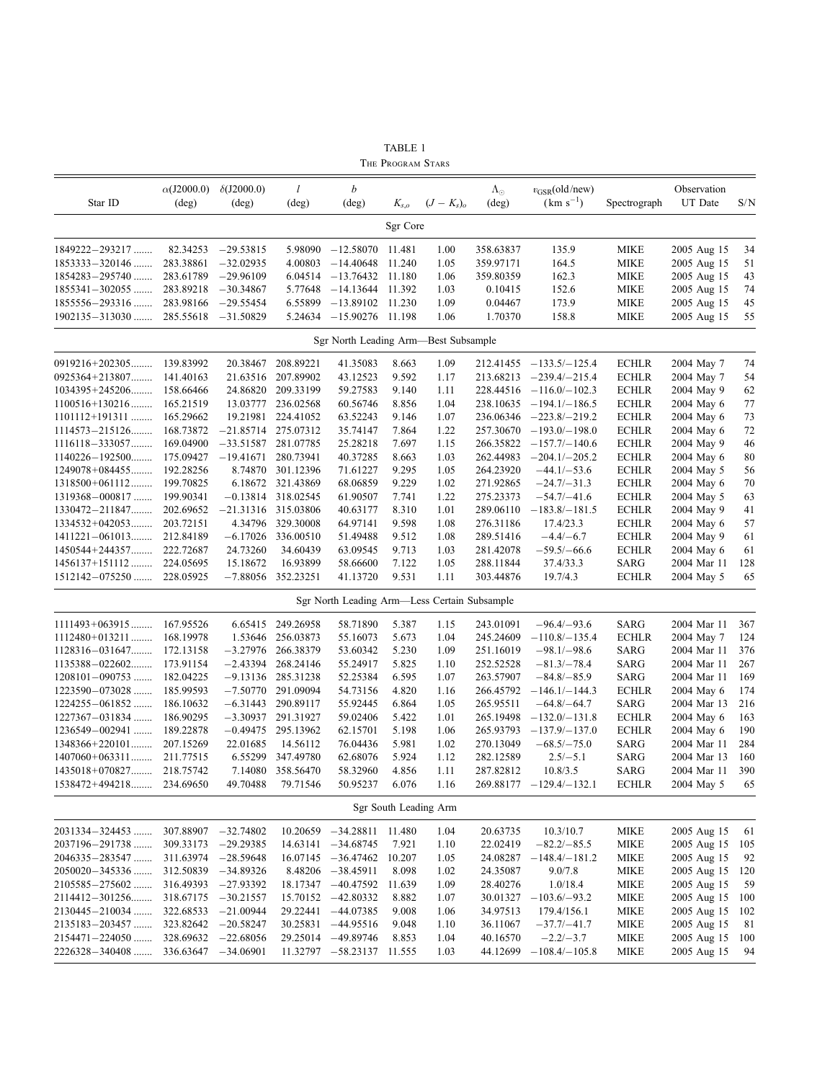|                          | $\alpha$ (J2000.0) | $\delta$ (J2000.0)     | l                    | b                                            |                       |                   | $\Lambda_{\odot}$ | $v_{\rm GSR}$ (old/new)   |              | Observation |     |
|--------------------------|--------------------|------------------------|----------------------|----------------------------------------------|-----------------------|-------------------|-------------------|---------------------------|--------------|-------------|-----|
| Star ID                  | $(\text{deg})$     | $(\text{deg})$         | $(\text{deg})$       | $(\text{deg})$                               | $K_{s,o}$             | $(J-K_s)_{\rm o}$ | (deg)             | $(km s^{-1})$             | Spectrograph | UT Date     | S/N |
|                          |                    |                        |                      |                                              | Sgr Core              |                   |                   |                           |              |             |     |
| 1849222-293217           | 82.34253           | $-29.53815$            | 5.98090              | $-12.58070$                                  | 11.481                | 1.00              | 358.63837         | 135.9                     | <b>MIKE</b>  | 2005 Aug 15 | 34  |
| 1853333-320146           | 283.38861          | $-32.02935$            | 4.00803              | $-14.40648$                                  | 11.240                | 1.05              | 359.97171         | 164.5                     | <b>MIKE</b>  | 2005 Aug 15 | 51  |
| $1854283 - 295740$       | 283.61789          | $-29.96109$            | 6.04514              | $-13.76432$ 11.180                           |                       | 1.06              | 359.80359         | 162.3                     | <b>MIKE</b>  | 2005 Aug 15 | 43  |
| $1855341 - 302055$       | 283.89218          | $-30.34867$            | 5.77648              | $-14.13644$                                  | 11.392                | 1.03              | 0.10415           | 152.6                     | <b>MIKE</b>  | 2005 Aug 15 | 74  |
| 1855556-293316           | 283.98166          | $-29.55454$            | 6.55899              | $-13.89102$                                  | 11.230                | 1.09              | 0.04467           | 173.9                     | <b>MIKE</b>  | 2005 Aug 15 | 45  |
| $1902135 - 313030$       | 285.55618          | $-31.50829$            | 5.24634              | $-15.90276$                                  | 11.198                | 1.06              | 1.70370           | 158.8                     | <b>MIKE</b>  | 2005 Aug 15 | 55  |
|                          |                    |                        |                      | Sgr North Leading Arm-Best Subsample         |                       |                   |                   |                           |              |             |     |
| 0919216+202305           | 139.83992          | 20.38467               | 208.89221            | 41.35083                                     | 8.663                 | 1.09              | 212.41455         | $-133.5/-125.4$           | <b>ECHLR</b> | 2004 May 7  | 74  |
| 0925364+213807           | 141.40163          | 21.63516               | 207.89902            | 43.12523                                     | 9.592                 | 1.17              | 213.68213         | $-239.4/-215.4$           | <b>ECHLR</b> | 2004 May 7  | 54  |
| $1034395 + 245206$       | 158.66466          | 24.86820               | 209.33199            | 59.27583                                     | 9.140                 | 1.11              | 228.44516         | $-116.0 - 102.3$          | <b>ECHLR</b> | 2004 May 9  | 62  |
| $1100516 + 130216$       | 165.21519          | 13.03777               | 236.02568            | 60.56746                                     | 8.856                 | 1.04              | 238.10635         | $-194.1/-186.5$           | <b>ECHLR</b> | 2004 May 6  | 77  |
| $1101112+191311$         | 165.29662          | 19.21981               | 224.41052            | 63.52243                                     | 9.146                 | 1.07              | 236.06346         | $-223.8 - 219.2$          | <b>ECHLR</b> | 2004 May 6  | 73  |
| $1114573 - 215126$       | 168.73872          | $-21.85714$            | 275.07312            | 35.74147                                     | 7.864                 | 1.22              | 257.30670         | $-193.0 - 198.0$          | <b>ECHLR</b> | 2004 May 6  | 72  |
| $1116118 - 333057$       | 169.04900          | $-33.51587$            | 281.07785            | 25.28218                                     | 7.697                 | 1.15              | 266.35822         | $-157.7/-140.6$           | <b>ECHLR</b> | 2004 May 9  | 46  |
| $1140226 - 192500$       | 175.09427          | $-19.41671$            | 280.73941            | 40.37285                                     | 8.663                 | 1.03              | 262.44983         | $-204.1/-205.2$           | <b>ECHLR</b> | 2004 May 6  | 80  |
| $1249078+084455$         | 192.28256          | 8.74870                | 301.12396            | 71.61227                                     | 9.295                 | 1.05              | 264.23920         | $-44.1/-53.6$             | <b>ECHLR</b> | 2004 May 5  | 56  |
| $1318500+061112$         | 199.70825          |                        | 6.18672 321.43869    | 68.06859                                     | 9.229                 | 1.02              | 271.92865         | $-24.7/-31.3$             | <b>ECHLR</b> | 2004 May 6  | 70  |
| $1319368 - 000817$       | 199.90341          |                        | $-0.13814$ 318.02545 | 61.90507                                     | 7.741                 | 1.22              | 275.23373         | $-54.7/-41.6$             | <b>ECHLR</b> | 2004 May 5  | 63  |
| 1330472-211847           | 202.69652          | $-21.31316$ 315.03806  |                      | 40.63177                                     | 8.310                 | 1.01              | 289.06110         | $-183.8 - 181.5$          | <b>ECHLR</b> | 2004 May 9  | 41  |
| $1334532+042053$         | 203.72151          | 4.34796                | 329.30008            | 64.97141                                     | 9.598                 | 1.08              | 276.31186         | 17.4/23.3                 | <b>ECHLR</b> | 2004 May 6  | 57  |
| $1411221 - 061013$       | 212.84189          | $-6.17026$             | 336.00510            | 51.49488                                     | 9.512                 | 1.08              | 289.51416         | $-4.4/-6.7$               | <b>ECHLR</b> | 2004 May 9  | 61  |
| 1450544+244357           | 222.72687          | 24.73260               | 34.60439             | 63.09545                                     | 9.713                 | 1.03              | 281.42078         | $-59.5/-66.6$             | <b>ECHLR</b> | 2004 May 6  | 61  |
| 1456137+151112           | 224.05695          | 15.18672               | 16.93899             | 58.66600                                     | 7.122                 | 1.05              | 288.11844         | 37.4/33.3                 | SARG         | 2004 Mar 11 | 128 |
| $1512142 - 075250$       | 228.05925          |                        | $-7.88056$ 352.23251 | 41.13720                                     | 9.531                 | 1.11              | 303.44876         | 19.7/4.3                  | <b>ECHLR</b> | 2004 May 5  | 65  |
|                          |                    |                        |                      | Sgr North Leading Arm—Less Certain Subsample |                       |                   |                   |                           |              |             |     |
| $1111493+063915$         | 167.95526          |                        | 6.65415 249.26958    | 58.71890                                     | 5.387                 | 1.15              | 243.01091         | $-96.4/-93.6$             | SARG         | 2004 Mar 11 | 367 |
| $1112480+013211$         | 168.19978          | 1.53646                | 256.03873            | 55.16073                                     | 5.673                 | 1.04              | 245.24609         | $-110.8/-135.4$           | <b>ECHLR</b> | 2004 May 7  | 124 |
| $1128316 - 031647$       | 172.13158          | –3.27976               | 266.38379            | 53.60342                                     | 5.230                 | 1.09              | 251.16019         | $-98.1/-98.6$             | SARG         | 2004 Mar 11 | 376 |
| $1135388 - 022602$       | 173.91154          | $-2.43394$             | 268.24146            | 55.24917                                     | 5.825                 | 1.10              | 252.52528         | $-81.3/-78.4$             | <b>SARG</b>  | 2004 Mar 11 | 267 |
| $1208101 - 090753$       | 182.04225          | $-9.13136$             | 285.31238            | 52.25384                                     | 6.595                 | 1.07              | 263.57907         | $-84.8/-85.9$             | SARG         | 2004 Mar 11 | 169 |
| $1223590 - 073028$       | 185.99593          | $-7.50770$             | 291.09094            | 54.73156                                     | 4.820                 | 1.16              | 266.45792         | $-146.1/-144.3$           | <b>ECHLR</b> | 2004 May 6  | 174 |
| 1224255-061852           | 186.10632          | $-6.31443$             | 290.89117            | 55.92445                                     | 6.864                 | 1.05              | 265.95511         | $-64.8/-64.7$             | SARG         | 2004 Mar 13 | 216 |
| $1227367 - 031834$       | 186.90295          |                        | $-3.30937$ 291.31927 | 59.02406                                     | 5.422                 | 1.01              | 265.19498         | $-132.0 - 131.8$          | <b>ECHLR</b> | 2004 May 6  | 163 |
| $1236549 - 002941$       | 189.22878          | $-0.49475$             | 295.13962            | 62.15701                                     | 5.198                 | 1.06              | 265.93793         | $-137.9/-137.0$           | <b>ECHLR</b> | 2004 May 6  | 190 |
| $1348366+220101$         | 207.15269          | 22.01685               | 14.56112             | 76.04436                                     | 5.981                 | 1.02              | 270.13049         | $-68.5/-75.0$             | SARG         | 2004 Mar 11 | 284 |
| $1407060+063311$         | 211.77515          |                        | 6.55299 347.49780    | 62.68076                                     | 5.924                 | 1.12              | 282.12589         | $2.5/-5.1$                | SARG         | 2004 Mar 13 | 160 |
| 1435018+070827 218.75742 |                    |                        | 7.14080 358.56470    | 58.32960                                     | 4.856                 | 1.11              | 287.82812         | 10.8/3.5                  | SARG         | 2004 Mar 11 | 390 |
| 1538472+494218           | 234.69650          | 49.70488               | 79.71546             | 50.95237                                     | 6.076                 | 1.16              |                   | $269.88177 -129.4/-132.1$ | <b>ECHLR</b> | 2004 May 5  | 65  |
|                          |                    |                        |                      |                                              | Sgr South Leading Arm |                   |                   |                           |              |             |     |
| 2031334-324453           |                    | 307.88907 -32.74802    |                      | $10.20659 - 34.28811$ 11.480                 |                       | 1.04              | 20.63735          | 10.3/10.7                 | <b>MIKE</b>  | 2005 Aug 15 | 61  |
| 2037196-291738           | 309.33173          | $-29.29385$            |                      | $14.63141 - 34.68745$                        | 7.921                 | 1.10              | 22.02419          | $-82.2/-85.5$             | <b>MIKE</b>  | 2005 Aug 15 | 105 |
| 2046335-283547           | 311.63974          | $-28.59648$            |                      | $16.07145 - 36.47462$                        | 10.207                | 1.05              | 24.08287          | $-148.4 - 181.2$          | <b>MIKE</b>  | 2005 Aug 15 | 92  |
| 2050020-345336           | 312.50839          | $-34.89326$            |                      | $8.48206 - 38.45911$                         | 8.098                 | 1.02              | 24.35087          | 9.0/7.8                   | <b>MIKE</b>  | 2005 Aug 15 | 120 |
| 2105585-275602           | 316.49393          | $-27.93392$            |                      | 18.17347 -40.47592                           | 11.639                | 1.09              | 28.40276          | 1.0/18.4                  | <b>MIKE</b>  | 2005 Aug 15 | 59  |
| 2114412-301256           | 318.67175          | $-30.21557$            |                      | 15.70152 -42.80332                           | 8.882                 | 1.07              | 30.01327          | $-103.6/-93.2$            | <b>MIKE</b>  | 2005 Aug 15 | 100 |
| 2130445-210034           | 322.68533          | $-21.00944$            |                      | 29.22441 -44.07385                           | 9.008                 | 1.06              | 34.97513          | 179.4/156.1               | <b>MIKE</b>  | 2005 Aug 15 | 102 |
| 2135183-203457           | 323.82642          | $-20.58247$            |                      | $30.25831 -44.95516$                         | 9.048                 | 1.10              | 36.11067          | $-37.7/-41.7$             | <b>MIKE</b>  | 2005 Aug 15 | 81  |
| 2154471-224050           | 328.69632          | $-22.68056$            |                      | 29.25014 -49.89746                           | 8.853                 | 1.04              | 40.16570          | $-2.2/-3.7$               | <b>MIKE</b>  | 2005 Aug 15 | 100 |
| 2226328-340408           |                    | $336.63647 - 34.06901$ |                      | 11.32797 -58.23137 11.555                    |                       | 1.03              | 44.12699          | $-108.4 - 105.8$          | <b>MIKE</b>  | 2005 Aug 15 | 94  |
|                          |                    |                        |                      |                                              |                       |                   |                   |                           |              |             |     |

TABLE 1 The Program Stars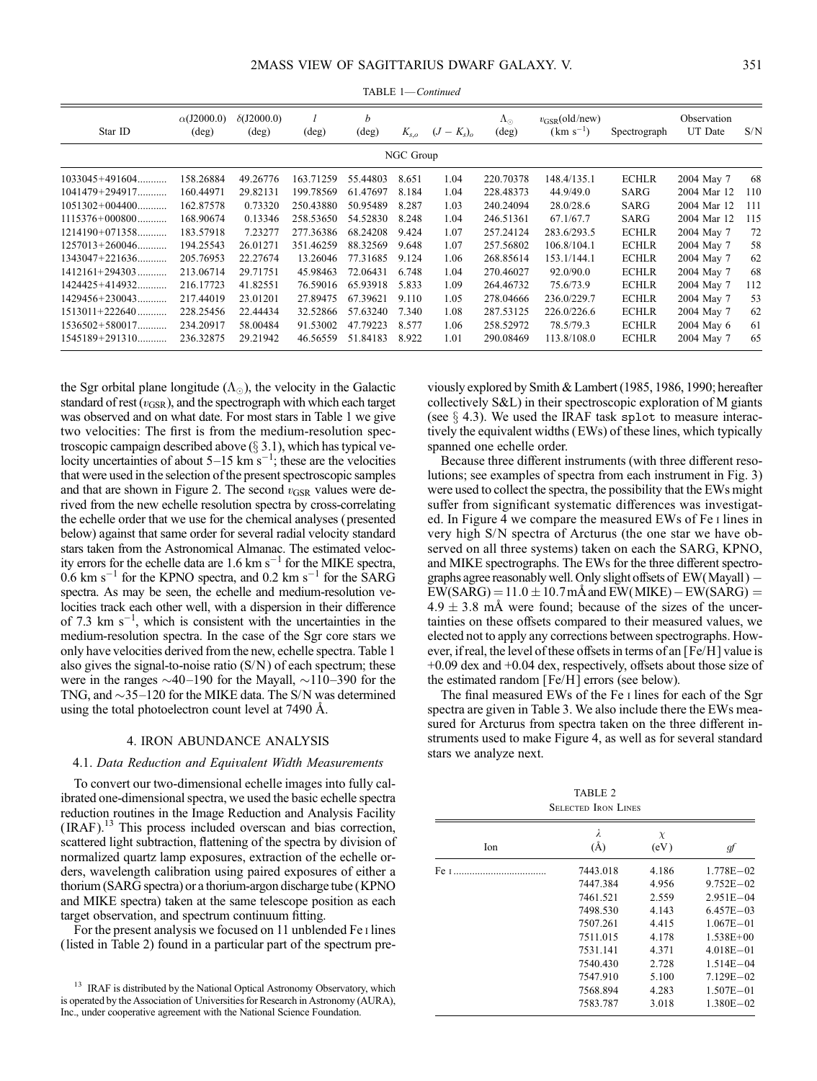| Star ID            | $\alpha$ (J2000.0)<br>$(\text{deg})$ | $\delta$ (J2000.0)<br>$(\text{deg})$ | $(\text{deg})$ | b<br>$(\text{deg})$ | $K_{s,o}$ | $K_{s})_{\alpha}$<br>$(J -$ | $\Lambda_{\odot}$<br>$(\text{deg})$ | $v_{\text{GSR}}\text{(old/new)}$<br>$(km s^{-1})$ | Spectrograph | Observation<br>UT Date | S/N |
|--------------------|--------------------------------------|--------------------------------------|----------------|---------------------|-----------|-----------------------------|-------------------------------------|---------------------------------------------------|--------------|------------------------|-----|
|                    |                                      |                                      |                |                     | NGC Group |                             |                                     |                                                   |              |                        |     |
| $1033045+491604$   | 158.26884                            | 49.26776                             | 163.71259      | 55.44803            | 8.651     | 1.04                        | 220.70378                           | 148.4/135.1                                       | <b>ECHLR</b> | 2004 May 7             | 68  |
| $1041479 + 294917$ | 160.44971                            | 29.82131                             | 199.78569      | 61.47697            | 8.184     | 1.04                        | 228.48373                           | 44.9/49.0                                         | SARG         | 2004 Mar 12            | 110 |
| $1051302+004400$   | 162.87578                            | 0.73320                              | 250.43880      | 50.95489            | 8.287     | 1.03                        | 240.24094                           | 28.0/28.6                                         | SARG         | 2004 Mar 12            | 111 |
| $1115376+000800$   | 168.90674                            | 0.13346                              | 258.53650      | 54.52830            | 8.248     | 1.04                        | 246.51361                           | 67.1/67.7                                         | SARG         | 2004 Mar 12            | 115 |
| $1214190+071358$   | 183.57918                            | 7.23277                              | 277.36386      | 68.24208            | 9.424     | 1.07                        | 257.24124                           | 283.6/293.5                                       | <b>ECHLR</b> | 2004 May 7             | 72  |
| $1257013+260046$   | 194.25543                            | 26.01271                             | 351.46259      | 88.32569            | 9.648     | 1.07                        | 257.56802                           | 106.8/104.1                                       | <b>ECHLR</b> | 2004 May 7             | 58  |
| $1343047+221636$   | 205.76953                            | 22.27674                             | 13.26046       | 77.31685            | 9.124     | 1.06                        | 268.85614                           | 153.1/144.1                                       | <b>ECHLR</b> | 2004 May 7             | 62  |
| $1412161+294303$   | 213.06714                            | 29.71751                             | 45.98463       | 72.06431            | 6.748     | 1.04                        | 270.46027                           | 92.0/90.0                                         | <b>ECHLR</b> | 2004 May 7             | 68  |
| $1424425 + 414932$ | 216.17723                            | 41.82551                             | 76.59016       | 65.93918            | 5.833     | 1.09                        | 264.46732                           | 75.6/73.9                                         | <b>ECHLR</b> | 2004 May 7             | 112 |
| $1429456 + 230043$ | 217.44019                            | 23.01201                             | 27.89475       | 67.39621            | 9.110     | 1.05                        | 278.04666                           | 236.0/229.7                                       | <b>ECHLR</b> | 2004 May 7             | 53  |
| $1513011+222640$   | 228.25456                            | 22.44434                             | 32.52866       | 57.63240            | 7.340     | 1.08                        | 287.53125                           | 226.0/226.6                                       | <b>ECHLR</b> | 2004 May 7             | 62  |
| $1536502 + 580017$ | 234.20917                            | 58.00484                             | 91.53002       | 47.79223            | 8.577     | 1.06                        | 258.52972                           | 78.5/79.3                                         | <b>ECHLR</b> | 2004 May 6             | 61  |
| $1545189 + 291310$ | 236.32875                            | 29.21942                             | 46.56559       | 51.84183            | 8.922     | 1.01                        | 290.08469                           | 113.8/108.0                                       | <b>ECHLR</b> | 2004 May 7             | 65  |

TABLE 1—Continued

the Sgr orbital plane longitude  $(\Lambda_{\odot})$ , the velocity in the Galactic standard of rest  $(v_{\text{GSR}})$ , and the spectrograph with which each target was observed and on what date. For most stars in Table 1 we give two velocities: The first is from the medium-resolution spectroscopic campaign described above  $(\S 3.1)$ , which has typical velocity uncertainties of about  $5-15$  km s<sup>-1</sup>; these are the velocities that were used in the selection of the present spectroscopic samples and that are shown in Figure 2. The second  $v_{\text{GSR}}$  values were derived from the new echelle resolution spectra by cross-correlating the echelle order that we use for the chemical analyses (presented below) against that same order for several radial velocity standard stars taken from the Astronomical Almanac. The estimated velocity errors for the echelle data are  $1.6 \text{ km s}^{-1}$  for the MIKE spectra,  $0.6$  km s<sup>-1</sup> for the KPNO spectra, and 0.2 km s<sup>-1</sup> for the SARG spectra. As may be seen, the echelle and medium-resolution velocities track each other well, with a dispersion in their difference of 7.3 km  $s^{-1}$ , which is consistent with the uncertainties in the medium-resolution spectra. In the case of the Sgr core stars we only have velocities derived from the new, echelle spectra. Table 1 also gives the signal-to-noise ratio  $(S/N)$  of each spectrum; these were in the ranges  $\sim$ 40–190 for the Mayall,  $\sim$ 110–390 for the TNG, and  $\sim$ 35-120 for the MIKE data. The S/N was determined using the total photoelectron count level at  $7490 \text{ Å}$ .

#### 4. IRON ABUNDANCE ANALYSIS

#### 4.1. Data Reduction and Equivalent Width Measurements

To convert our two-dimensional echelle images into fully calibrated one-dimensional spectra, we used the basic echelle spectra reduction routines in the Image Reduction and Analysis Facility ( IRAF).13 This process included overscan and bias correction, scattered light subtraction, flattening of the spectra by division of normalized quartz lamp exposures, extraction of the echelle orders, wavelength calibration using paired exposures of either a thorium (SARG spectra) or a thorium-argon discharge tube (KPNO and MIKE spectra) taken at the same telescope position as each target observation, and spectrum continuum fitting.

For the present analysis we focused on 11 unblended Fe i lines (listed in Table 2) found in a particular part of the spectrum previously explored by Smith & Lambert (1985, 1986, 1990; hereafter collectively S&L) in their spectroscopic exploration of M giants (see  $\S$  4.3). We used the IRAF task splot to measure interactively the equivalent widths (EWs) of these lines, which typically spanned one echelle order.

Because three different instruments (with three different resolutions; see examples of spectra from each instrument in Fig. 3) were used to collect the spectra, the possibility that the EWs might suffer from significant systematic differences was investigated. In Figure 4 we compare the measured EWs of Fe i lines in very high S/N spectra of Arcturus (the one star we have observed on all three systems) taken on each the SARG, KPNO, and MIKE spectrographs. The EWs for the three different spectrographs agree reasonably well. Only slight offsets of EW(Mayall )  $EW(SARG) = 11.0 \pm 10.7$  mÅ and  $EW(MIKE) - EW(SARG) =$  $4.9 \pm 3.8$  mÅ were found; because of the sizes of the uncertainties on these offsets compared to their measured values, we elected not to apply any corrections between spectrographs. However, if real, the level of these offsets in terms of an [Fe/H] value is +0.09 dex and +0.04 dex, respectively, offsets about those size of the estimated random [Fe/H] errors (see below).

The final measured EWs of the Fe i lines for each of the Sgr spectra are given in Table 3. We also include there the EWs measured for Arcturus from spectra taken on the three different instruments used to make Figure 4, as well as for several standard stars we analyze next.

TABLE 2 Selected Iron Lines

| Ion  | λ<br>$\rm(\AA)$ | X<br>(eV) | gf            |
|------|-----------------|-----------|---------------|
| Fe т | 7443.018        | 4.186     | $1.778E - 02$ |
|      | 7447.384        | 4.956     | $9.752E - 02$ |
|      | 7461.521        | 2.559     | $2.951E - 04$ |
|      | 7498.530        | 4.143     | $6.457E - 03$ |
|      | 7507.261        | 4.415     | $1.067E - 01$ |
|      | 7511.015        | 4.178     | $1.538E + 00$ |
|      | 7531.141        | 4.371     | $4.018E - 01$ |
|      | 7540.430        | 2.728     | $1.514E - 04$ |
|      | 7547.910        | 5.100     | $7.129E - 02$ |
|      | 7568.894        | 4.283     | $1.507E - 01$ |
|      | 7583.787        | 3.018     | $1.380E - 02$ |
|      |                 |           |               |

<sup>&</sup>lt;sup>13</sup> IRAF is distributed by the National Optical Astronomy Observatory, which is operated by the Association of Universities for Research in Astronomy (AURA), Inc., under cooperative agreement with the National Science Foundation.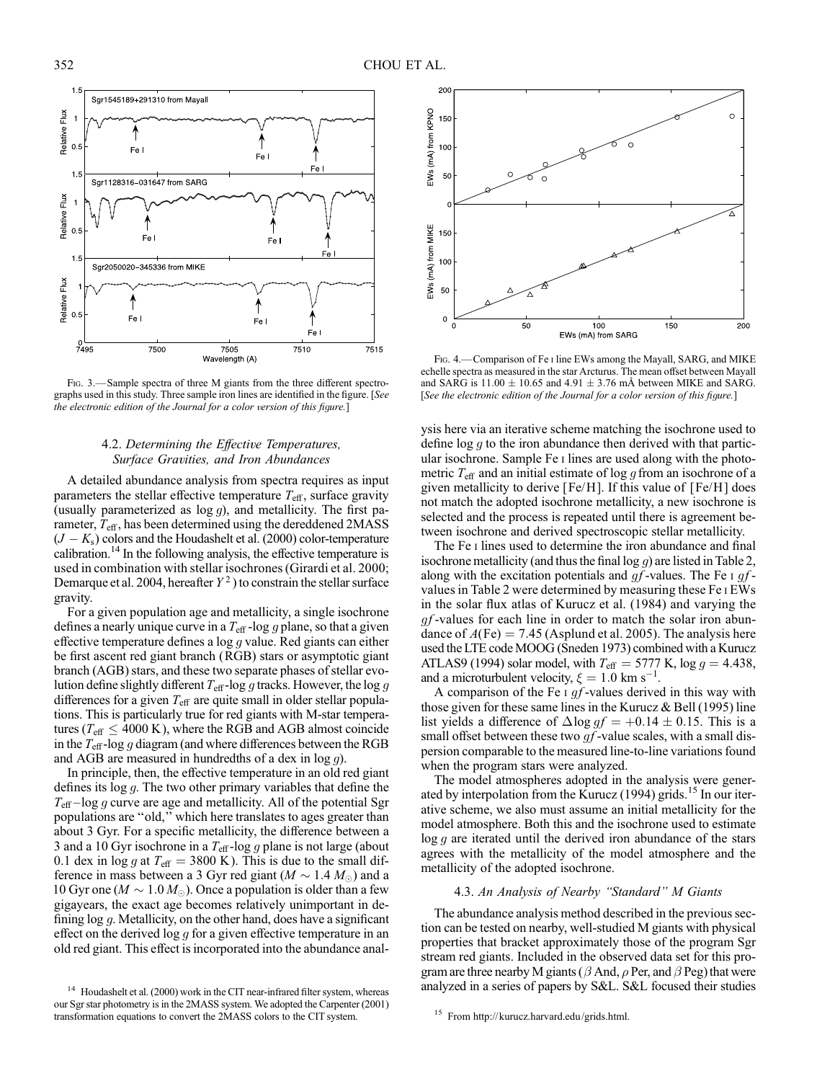

Fig. 3.—Sample spectra of three M giants from the three different spectrographs used in this study. Three sample iron lines are identified in the figure. [See the electronic edition of the Journal for a color version of this figure.]

## 4.2. Determining the Effective Temperatures, Surface Gravities, and Iron Abundances

A detailed abundance analysis from spectra requires as input parameters the stellar effective temperature  $T_{\text{eff}}$ , surface gravity (usually parameterized as  $log g$ ), and metallicity. The first parameter,  $T_{\text{eff}}$ , has been determined using the dereddened 2MASS  $(J - K<sub>s</sub>)$  colors and the Houdashelt et al. (2000) color-temperature calibration.<sup>14</sup> In the following analysis, the effective temperature is used in combination with stellar isochrones (Girardi et al. 2000; Demarque et al. 2004, hereafter  $Y^2$ ) to constrain the stellar surface gravity.

For a given population age and metallicity, a single isochrone defines a nearly unique curve in a  $T_{\text{eff}}$  -log g plane, so that a given effective temperature defines a  $\log g$  value. Red giants can either be first ascent red giant branch (RGB) stars or asymptotic giant branch (AGB) stars, and these two separate phases of stellar evolution define slightly different  $T_{\text{eff}}$ -log g tracks. However, the log g differences for a given  $T_{\text{eff}}$  are quite small in older stellar populations. This is particularly true for red giants with M-star temperatures ( $T_{\text{eff}} \leq 4000 \text{ K}$ ), where the RGB and AGB almost coincide in the  $T_{\text{eff}}$ -log g diagram (and where differences between the RGB and AGB are measured in hundredths of a dex in  $log g$ ).

In principle, then, the effective temperature in an old red giant defines its log g. The two other primary variables that define the  $T_{\text{eff}}$  -log g curve are age and metallicity. All of the potential Sgr populations are ''old,'' which here translates to ages greater than about 3 Gyr. For a specific metallicity, the difference between a 3 and a 10 Gyr isochrone in a  $T_{\text{eff}}$ -log g plane is not large (about 0.1 dex in log g at  $T_{\text{eff}} = 3800 \text{ K}$ ). This is due to the small difference in mass between a 3 Gyr red giant ( $M \sim 1.4 M_{\odot}$ ) and a 10 Gyr one ( $M \sim 1.0 M_{\odot}$ ). Once a population is older than a few gigayears, the exact age becomes relatively unimportant in defining log g. Metallicity, on the other hand, does have a significant effect on the derived  $\log g$  for a given effective temperature in an old red giant. This effect is incorporated into the abundance anal-



FIG. 4.—Comparison of Fe I line EWs among the Mayall, SARG, and MIKE echelle spectra as measured in the star Arcturus. The mean offset between Mayall and SARG is  $11.00 \pm 10.65$  and  $4.91 \pm 3.76$  mÅ between MIKE and SARG. [See the electronic edition of the Journal for a color version of this figure.]

ysis here via an iterative scheme matching the isochrone used to define  $\log g$  to the iron abundance then derived with that particular isochrone. Sample Fe i lines are used along with the photometric  $T_{\text{eff}}$  and an initial estimate of log g from an isochrone of a given metallicity to derive [Fe/H]. If this value of [Fe/H ] does not match the adopted isochrone metallicity, a new isochrone is selected and the process is repeated until there is agreement between isochrone and derived spectroscopic stellar metallicity.

The Fe I lines used to determine the iron abundance and final isochrone metallicity (and thus the final log  $g$ ) are listed in Table 2, along with the excitation potentials and  $gf$ -values. The Fe i  $gf$ values in Table 2 were determined by measuring these Fe i EWs in the solar flux atlas of Kurucz et al. (1984) and varying the  $qf$ -values for each line in order to match the solar iron abundance of  $A$ (Fe) = 7.45 (Asplund et al. 2005). The analysis here used the LTE code MOOG (Sneden 1973) combined with a Kurucz ATLAS9 (1994) solar model, with  $T_{\text{eff}} = 5777$  K, log  $g = 4.438$ , and a microturbulent velocity,  $\xi = 1.0 \text{ km s}^{-1}$ .

A comparison of the Fe  $\iota$  gf-values derived in this way with those given for these same lines in the Kurucz  $&$  Bell (1995) line list yields a difference of  $\Delta$ log  $gf = +0.14 \pm 0.15$ . This is a small offset between these two  $gf$ -value scales, with a small dispersion comparable to the measured line-to-line variations found when the program stars were analyzed.

The model atmospheres adopted in the analysis were generated by interpolation from the Kurucz (1994) grids.<sup>15</sup> In our iterative scheme, we also must assume an initial metallicity for the model atmosphere. Both this and the isochrone used to estimate  $\log g$  are iterated until the derived iron abundance of the stars agrees with the metallicity of the model atmosphere and the metallicity of the adopted isochrone.

# 4.3. An Analysis of Nearby ''Standard'' M Giants

The abundance analysis method described in the previous section can be tested on nearby, well-studied M giants with physical properties that bracket approximately those of the program Sgr stream red giants. Included in the observed data set for this program are three nearby M giants ( $\beta$  And,  $\rho$  Per, and  $\beta$  Peg) that were analyzed in a series of papers by S&L. S&L focused their studies

<sup>&</sup>lt;sup>14</sup> Houdashelt et al. (2000) work in the CIT near-infrared filter system, whereas our Sgr star photometry is in the 2MASS system. We adopted the Carpenter (2001) transformation equations to convert the 2MASS colors to the CIT system. <sup>15</sup> From http://kurucz.harvard.edu/grids.html.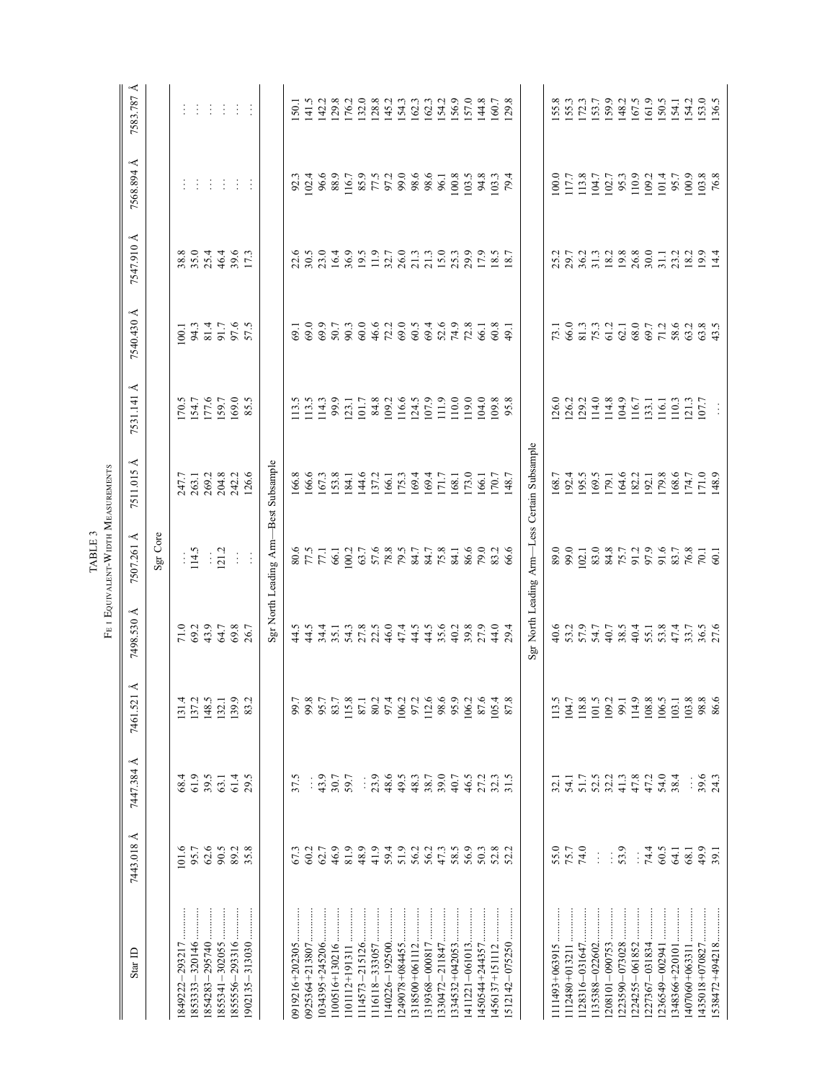|                                               | Å<br>7583.787 |          |                                                      |       |          | $\ddot{\cdot}$ |                      |               |                                      | 150.1 | 141.5                | 142.2          | 129.8        | 176.2            | 132.0                | 128.8<br>145.2                              |                | 154.3 | 162.3 | 162.3          | 154.2<br>156.9       |                | 157.0          | 144.8 | 160.7               | 129.8   |                                              | 155.8 | 155.3          | 172.3                | 153.7          | 159.9                      | 148.2    | 167.5    | 161.9          | 150.5                                | 154.1 | 154.2                | 153.0 | 136.5                |
|-----------------------------------------------|---------------|----------|------------------------------------------------------|-------|----------|----------------|----------------------|---------------|--------------------------------------|-------|----------------------|----------------|--------------|------------------|----------------------|---------------------------------------------|----------------|-------|-------|----------------|----------------------|----------------|----------------|-------|---------------------|---------|----------------------------------------------|-------|----------------|----------------------|----------------|----------------------------|----------|----------|----------------|--------------------------------------|-------|----------------------|-------|----------------------|
|                                               | 7568.894 Å    |          |                                                      | ÷     | ÷        | ÷              | ÷                    | ÷             |                                      | 92.3  | 102.4                | 96.6           | 88.9         | 116.7            | 85.9                 | 77.3<br>97.2                                |                | 99.0  | 98.6  | 98.6           | $\frac{96.1}{100.8}$ |                | 103.5          | 94.8  | 103.3               | 79.4    |                                              | 100.0 | 117.7          | 113.8                | 104.7          | 102.7                      | 95.3     | 110.9    | 109.2          | 101.4                                | 95.7  | 100.9                |       | $\frac{103.8}{76.8}$ |
|                                               | 7547.910 Å    |          | $38.0$<br>$35.4$                                     |       |          |                | 46.4<br>39.6<br>17.3 |               |                                      | 22.6  | 30.5                 | 23.0           | 16.4         | 36.9             | 19.5                 | $11.9$<br>32.7                              |                | 26.0  | 21.3  |                | $15.0$<br>$25.3$     |                | 29.9           | 17.9  | 18.5                |         |                                              | 25.2  | 29.7           |                      |                | $36.2$<br>$31.3$<br>$18.2$ | $19.8\,$ | 26.8     | 30.0           | 31.1                                 | 23.2  | 18.2                 |       | 19.4                 |
|                                               | 7540.430 Å    |          | $\begin{array}{c} 100.1 \\ 94.3 \\ 81.4 \end{array}$ |       |          | 91.7           | 97.5                 |               |                                      | 69.1  | 69.0                 | 69.9           | 50.7         | 90.3             | 60.0                 | 46.6                                        | 72.2           | 69.0  | 60.5  | 69.4           | 52.6                 |                | 72.8           | 66.1  | 60.8                | $-49.1$ |                                              | 73.1  | 66.0           | 81.3<br>75.3<br>61.2 |                |                            | 62.1     | 68.0     | 69.7           | 71.2                                 | 58.6  | 63.2                 |       | 63.5                 |
|                                               | 7531.141 Å    |          | 170.5                                                | 154.7 | 177.6    | 159.7          | 169.0                | 85.5          |                                      | 13.5  | 113.5                | 114.3          | 99.9         | 123.1            | 101.7                | 84.8<br>109.2                               |                | 116.6 | 124.5 | 107.9          | 111.9                | 110.0          | 119.0          | 104.0 | 109.8<br>95.8       |         |                                              | 126.0 | 126.2<br>129.2 |                      | 114.0          | 114.8                      | 104.9    | 116.7    | 133.1          | 116.1                                | 110.3 | 121.3                | 07.7  |                      |
|                                               | ⋖<br>7511.015 |          | 247.7                                                | 263.1 | 269.2    | 204.8          | 242.2                | 126.6         |                                      | 166.8 | 166.6                | 167.3          | 153.8        | 184.1            | 144.6                | 137.2                                       | 166.1<br>175.3 |       | 169.4 | 169.4          | 171.7                | 1.891          | 173.0          | .66.1 | $\frac{70.7}{70.7}$ |         |                                              | 168.7 | 192.4          | 195.5                | 169.5          | 179.1                      | 164.6    | 182.2    | 192.1<br>179.8 |                                      | 168.6 | 174.7                |       | 171.0                |
| FE I EQUIVALENT-WIDTH MEASUREMENTS<br>TABLE 3 | 7507.261 Å    | Sgr Core |                                                      | 114.5 | Ť,       | 121.2          | $\frac{1}{2}$        | $\frac{1}{2}$ | Sgr North Leading Arm-Best Subsample |       | 80.5<br>77.5<br>77.1 |                | 66.1         | 100.2            | 63.7                 | $\begin{array}{c} 57.6 \\ 78.8 \end{array}$ |                | 79.5  | 84.7  | 84.7           | 75.8                 | 84.1           | 86.6           | 79.0  | 83.2                | 66.6    | Sgr North Leading Arm-Less Certain Subsample |       | 89.0<br>99.0   | 102.1                | 83.0           | 84.8                       | 75.7     | 91.2     | 97.9           | 91.6                                 | 83.7  | 76.8                 |       | 70.1                 |
|                                               | 7498.530 Å    |          | 71.0                                                 | 69.2  | 43.9     | 64.7           | 69.8                 | 26.7          |                                      | 44.5  | 44.5                 |                | 34.4<br>35.1 | $54.3$<br>$27.8$ |                      | 22.5                                        | 46.0           | 47.4  | 44.5  | 44.5           | 35.6                 | 40.2           | 39.8           | 27.9  | 44.0                | 29.4    |                                              | 40.6  | 53.2<br>57.9   |                      | 54.7           | 40.7                       |          |          |                | 8.5<br>8.0 5.7<br>8.9 5.8<br>8.9 7.4 |       | 33.7<br>36.5<br>27.6 |       |                      |
|                                               | 7461.521 Å    |          | 131.4                                                | 137.2 | 148.5    | 132.1          | 139.9                | 83.2          |                                      | 99.7  | 99.8                 | 95.7           | 83.7         | 115.8            | 87.1<br>80.2<br>97.4 |                                             |                | 106.2 | 97.2  | 112.6          | 98.6                 |                | 106.2          | 87.6  | 105.4               | 87.8    |                                              | 113.5 | 104.7          | 118.8                | 101.5          | 109.2                      | 99.1     | 114.9    | 108.8          | 106.5                                | 103.1 | 103.8                | 98.8  | 86.6                 |
|                                               | 7447.384 Å    |          | 68.4                                                 | 61.9  | 39.5     | 63.1           | 61.4                 | 29.5          |                                      | 37.5  |                      | 43.9           | 30.7         | 59.7             | $\vdots$             | 23.9                                        | 48.6           | 49.5  | 48.3  | 38.7           | 39.0                 | 40.7           | 46.5           | 27.2  | 32.3                | 31.5    |                                              | 32.1  | 54.1           | 51.7                 | 52.5           | 32.2                       | 41.3     | 47.8     | 47.2           | 54.0                                 | 38.4  |                      | 39.6  | 24.3                 |
|                                               | 7443.018 Å    |          | 101.6                                                | 95.7  | $62.6\,$ | 90.5           | 89.2                 | 35.8          |                                      | 67.3  | 60.2                 | 62.7           | 46.9         | 81.9             | 48.9                 | 41.9                                        | 59.4           | 51.9  | 56.2  | 56.2           | 47.3                 | 58.5           | 56.9           | 50.3  | 52.8                | 52.2    |                                              | 55.0  | 75.7           | 74.0                 | $\vdots$       | ÷                          | 53.9     | $\vdots$ | 74.4           | 60.5                                 | 64.1  | 68.1                 | 49.9  | 39.1                 |
|                                               | Star ID       |          |                                                      |       |          | 855341-302055  | 855556-293316        |               |                                      |       |                      | 1034395+245206 |              |                  |                      |                                             | 140226-192500  |       |       | 1319368-000817 |                      | 1334532+042053 | 1411221-061013 |       |                     |         |                                              |       |                |                      | 1135388-022602 | 1208101-090753             |          |          |                | 1236549-002941                       |       |                      |       |                      |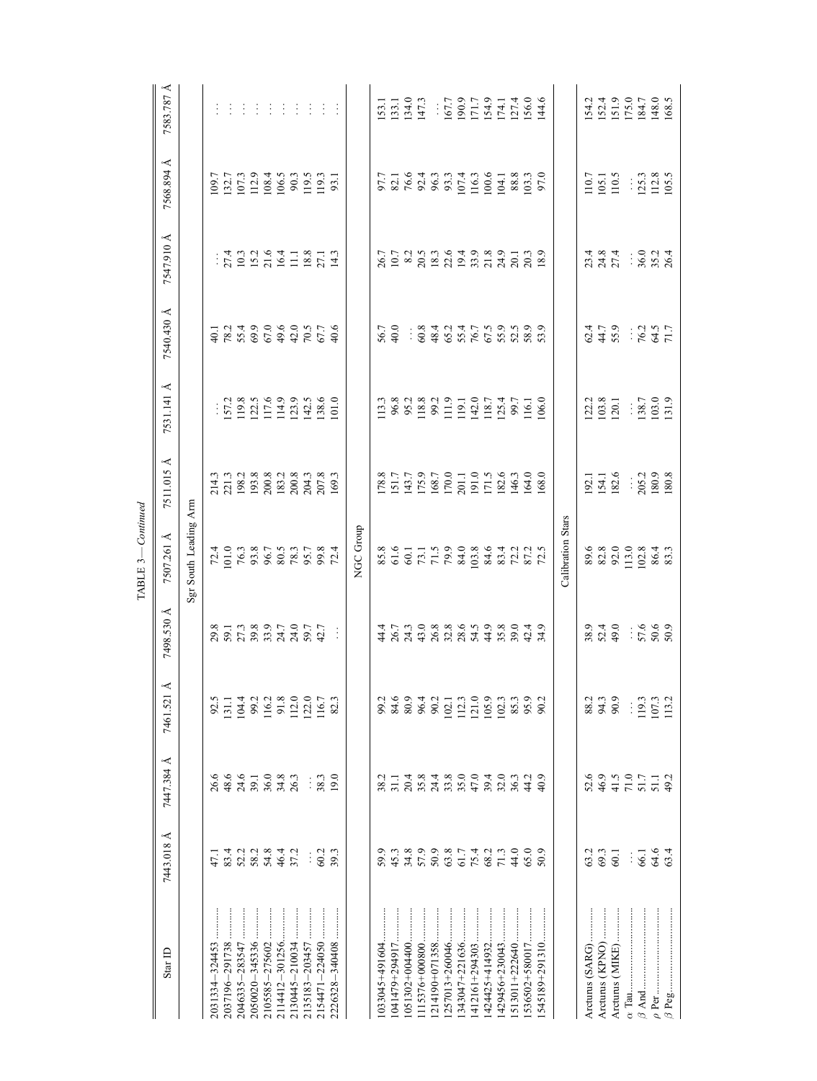|                    |                      |                                             |                |                                                                         | $-Continued$<br>TABLE 3-                                                       |                                                                                                                                |                                                                                                                                                                                                                                                                                                               |                     |                                                                                                                                                                                                                                |                                                                                                                                                                                                                                                                                                     |                                                                                                                    |
|--------------------|----------------------|---------------------------------------------|----------------|-------------------------------------------------------------------------|--------------------------------------------------------------------------------|--------------------------------------------------------------------------------------------------------------------------------|---------------------------------------------------------------------------------------------------------------------------------------------------------------------------------------------------------------------------------------------------------------------------------------------------------------|---------------------|--------------------------------------------------------------------------------------------------------------------------------------------------------------------------------------------------------------------------------|-----------------------------------------------------------------------------------------------------------------------------------------------------------------------------------------------------------------------------------------------------------------------------------------------------|--------------------------------------------------------------------------------------------------------------------|
| Star ID            | 7443.018 Å           | 7447.384 Å                                  | 7461.521 Å     | 7498.530 Å                                                              | 7507.261 Å                                                                     | 7511.015 Å                                                                                                                     | 7531.141 Å                                                                                                                                                                                                                                                                                                    | 7540.430 Å          | 7547.910 Å                                                                                                                                                                                                                     | 7568.894 Å                                                                                                                                                                                                                                                                                          | 7583.787 Å                                                                                                         |
|                    |                      |                                             |                |                                                                         | Sgr South Leading Arm                                                          |                                                                                                                                |                                                                                                                                                                                                                                                                                                               |                     |                                                                                                                                                                                                                                |                                                                                                                                                                                                                                                                                                     |                                                                                                                    |
| 2031334-324453     | $-11$                | 26.6                                        | 92.5           |                                                                         |                                                                                |                                                                                                                                |                                                                                                                                                                                                                                                                                                               |                     |                                                                                                                                                                                                                                |                                                                                                                                                                                                                                                                                                     |                                                                                                                    |
|                    | 83.4                 | 48.6                                        | 131.1          |                                                                         |                                                                                |                                                                                                                                |                                                                                                                                                                                                                                                                                                               |                     |                                                                                                                                                                                                                                |                                                                                                                                                                                                                                                                                                     | $\ddot{\cdot}$                                                                                                     |
| 2046335-283547     |                      | 24.6                                        | 104.4          |                                                                         |                                                                                |                                                                                                                                |                                                                                                                                                                                                                                                                                                               |                     |                                                                                                                                                                                                                                |                                                                                                                                                                                                                                                                                                     | ÷                                                                                                                  |
| 2050020-345336     | 52.3<br>58.3<br>54.8 |                                             |                | 8<br>8<br>8<br>8<br>8<br>8<br>8<br>8<br>8<br>8<br>8<br>8<br>8<br>8<br>8 | $72.4$ $70.78$ $70.78$ $70.78$ $70.78$ $70.78$ $70.78$ $70.78$ $70.78$ $70.78$ |                                                                                                                                | $\begin{array}{c} \\ 157.2 \\ 119.8 \\ 112.5 \\ 117.6 \\ 114.9 \\ \end{array}$                                                                                                                                                                                                                                |                     | $: 7.3$ $: 7.3$ $: 7.4$ $: 7.5$ $: 7.5$ $: 7.5$ $: 7.5$ $: 7.5$ $: 7.5$ $: 7.5$ $: 7.5$ $: 7.5$ $: 7.5$ $: 7.5$ $: 7.5$ $: 7.5$ $: 7.5$ $: 7.5$ $: 7.5$ $: 7.5$ $: 7.5$ $: 7.5$ $: 7.5$ $: 7.5$ $: 7.5$ $: 7.5$ $: 7.5$ $: 7.$ | $\begin{array}{l} 109.7 \\ 132.7 \\ 107.3 \\ 112.9 \\ 108.4 \\ 106.5 \\ 100.3 \\ 119.3 \\ 119.3 \\ 119.3 \\ 119.3 \\ 119.3 \\ 119.3 \\ 119.3 \\ 119.3 \\ 119.3 \\ 119.3 \\ 119.3 \\ 119.3 \\ 129.3 \\ 139.3 \\ 149.3 \\ 159.3 \\ 160.3 \\ 179.3 \\ 189.3 \\ 199.3 \\ 199.3 \\ 199.3 \\ 199.3 \\ 19$ | ÷                                                                                                                  |
|                    |                      |                                             | 99.2<br>116.2  |                                                                         |                                                                                |                                                                                                                                |                                                                                                                                                                                                                                                                                                               |                     |                                                                                                                                                                                                                                |                                                                                                                                                                                                                                                                                                     | ÷                                                                                                                  |
|                    | 46.4                 | $36.0$<br>$36.0$<br>$34.8$                  | 91.8           |                                                                         |                                                                                |                                                                                                                                |                                                                                                                                                                                                                                                                                                               |                     |                                                                                                                                                                                                                                |                                                                                                                                                                                                                                                                                                     | ÷                                                                                                                  |
| 2130445-210034     | 37.2                 | 26.3                                        | 112.0          |                                                                         |                                                                                |                                                                                                                                |                                                                                                                                                                                                                                                                                                               |                     |                                                                                                                                                                                                                                |                                                                                                                                                                                                                                                                                                     | ÷                                                                                                                  |
| 2135183-203457     | $\ddot{\cdot}$       |                                             | 122.0          | 24.0<br>59.7<br>42.7                                                    |                                                                                |                                                                                                                                | $123.9$<br>$142.6$<br>$138.6$<br>$101.0$                                                                                                                                                                                                                                                                      |                     |                                                                                                                                                                                                                                |                                                                                                                                                                                                                                                                                                     | ÷                                                                                                                  |
| 2154471-224050     | 60.2                 | $\frac{38.3}{ }$                            | 116.7          |                                                                         |                                                                                |                                                                                                                                |                                                                                                                                                                                                                                                                                                               |                     |                                                                                                                                                                                                                                |                                                                                                                                                                                                                                                                                                     | ÷                                                                                                                  |
| 2226328-340408     | 39.3                 | 19.0                                        | 82.3           |                                                                         |                                                                                |                                                                                                                                |                                                                                                                                                                                                                                                                                                               |                     |                                                                                                                                                                                                                                |                                                                                                                                                                                                                                                                                                     |                                                                                                                    |
|                    |                      |                                             |                |                                                                         | NGC Group                                                                      |                                                                                                                                |                                                                                                                                                                                                                                                                                                               |                     |                                                                                                                                                                                                                                |                                                                                                                                                                                                                                                                                                     |                                                                                                                    |
| $1033045 + 491604$ | 59.9                 | 38.2                                        | 99.2           | $rac{4}{4}$                                                             |                                                                                |                                                                                                                                |                                                                                                                                                                                                                                                                                                               |                     |                                                                                                                                                                                                                                |                                                                                                                                                                                                                                                                                                     |                                                                                                                    |
|                    | 45.3                 | 31.1                                        | $\,84.6$       |                                                                         |                                                                                |                                                                                                                                |                                                                                                                                                                                                                                                                                                               | 56.7<br>40.0        |                                                                                                                                                                                                                                |                                                                                                                                                                                                                                                                                                     |                                                                                                                    |
| $051302 + 004400.$ | 34.8                 |                                             | 80.9           |                                                                         |                                                                                |                                                                                                                                |                                                                                                                                                                                                                                                                                                               |                     |                                                                                                                                                                                                                                |                                                                                                                                                                                                                                                                                                     |                                                                                                                    |
| 1115376+000800     | 57.9                 | 20.4<br>35.8                                | 96.4           |                                                                         |                                                                                |                                                                                                                                |                                                                                                                                                                                                                                                                                                               |                     |                                                                                                                                                                                                                                |                                                                                                                                                                                                                                                                                                     | 153.1<br>133.1<br>147.3<br>147.3                                                                                   |
| 1214190+071358     | 50.9                 | 24.4                                        | 90.2           |                                                                         |                                                                                |                                                                                                                                |                                                                                                                                                                                                                                                                                                               |                     |                                                                                                                                                                                                                                |                                                                                                                                                                                                                                                                                                     |                                                                                                                    |
| $1257013 + 260046$ | 63.8                 | 33.8                                        | 102.1          | r m 0 x x 6 m 0 x<br>G d m G d x d d d m<br>A d d m A m d d d m         |                                                                                | $\begin{array}{l} 178.8 \\ 151.7 \\ 151.7 \\ 175.9 \\ 168.7 \\ 100.0 \\ 171.0 \\ 191.0 \\ 111.5 \\ 182.6 \\ 182.6 \end{array}$ |                                                                                                                                                                                                                                                                                                               |                     |                                                                                                                                                                                                                                |                                                                                                                                                                                                                                                                                                     |                                                                                                                    |
| 1343047+221636.    | 61.7<br>75.4<br>71.3 | 35.0                                        | 112.3          |                                                                         |                                                                                |                                                                                                                                |                                                                                                                                                                                                                                                                                                               |                     |                                                                                                                                                                                                                                |                                                                                                                                                                                                                                                                                                     |                                                                                                                    |
| $1412161+294303$   |                      | 47.0                                        | 121.0          |                                                                         |                                                                                |                                                                                                                                |                                                                                                                                                                                                                                                                                                               |                     |                                                                                                                                                                                                                                |                                                                                                                                                                                                                                                                                                     |                                                                                                                    |
| $1424425 + 414932$ |                      | 39.4                                        | $105.9$        |                                                                         |                                                                                |                                                                                                                                |                                                                                                                                                                                                                                                                                                               |                     |                                                                                                                                                                                                                                |                                                                                                                                                                                                                                                                                                     |                                                                                                                    |
| 1429456+230043     |                      | 32.0                                        | 102.3          |                                                                         |                                                                                |                                                                                                                                | $\begin{array}{l} 13.3 \\ 13.8 \\ 9.8 \\ 18.2 \\ 19.3 \\ 15.4 \\ 19.5 \\ 11.5 \\ 12.6 \\ 15.7 \\ 15.4 \\ 15.5 \\ 15.5 \\ 16.0 \\ 16.0 \\ 16.0 \\ 16.0 \\ 16.0 \\ 16.0 \\ 17.4 \\ 18.7 \\ 15.4 \\ 16.0 \\ 16.0 \\ 16.0 \\ 17.4 \\ 18.0 \\ 19.0 \\ 19.0 \\ 19.0 \\ 19.0 \\ 19.0 \\ 19.0 \\ 19.0 \\ 19.0 \\ 19.$ | $.884945688888.$    |                                                                                                                                                                                                                                |                                                                                                                                                                                                                                                                                                     | $\begin{array}{r} \\ 167.7 \\ 190.9 \\ 171.7 \\ 174.1 \\ 174.1 \\ 174.0 \\ 174.0 \\ 196.0 \\ 144.6 \\ \end{array}$ |
| 1513011+222640     | 44.0                 | 36.3                                        | 85.3           | 0.0<br>0.24<br>0.4 A                                                    |                                                                                | 146.3                                                                                                                          |                                                                                                                                                                                                                                                                                                               |                     |                                                                                                                                                                                                                                | 88.8<br>103.3<br>97.0                                                                                                                                                                                                                                                                               |                                                                                                                    |
|                    | 65.0                 | 44.2                                        | 95.9           |                                                                         |                                                                                | 164.0<br>168.0                                                                                                                 |                                                                                                                                                                                                                                                                                                               |                     |                                                                                                                                                                                                                                |                                                                                                                                                                                                                                                                                                     |                                                                                                                    |
| 1545189+291310     | 50.9                 | 40.9                                        | 90.2           |                                                                         |                                                                                |                                                                                                                                |                                                                                                                                                                                                                                                                                                               |                     |                                                                                                                                                                                                                                |                                                                                                                                                                                                                                                                                                     |                                                                                                                    |
|                    |                      |                                             |                |                                                                         | Calibration Stars                                                              |                                                                                                                                |                                                                                                                                                                                                                                                                                                               |                     |                                                                                                                                                                                                                                |                                                                                                                                                                                                                                                                                                     |                                                                                                                    |
|                    | 63.2                 | 52.6                                        | 88.2           |                                                                         | 89.6                                                                           |                                                                                                                                |                                                                                                                                                                                                                                                                                                               | 62.4                |                                                                                                                                                                                                                                |                                                                                                                                                                                                                                                                                                     | 154.2                                                                                                              |
| Arcturus (KPNO)    | 69.3                 | 46.9                                        | 94.3           | 9<br>9<br>9<br>9<br>9<br>9<br>9                                         |                                                                                | 192.1<br>154.1<br>182.6                                                                                                        | 122.2<br>103.8<br>120.1                                                                                                                                                                                                                                                                                       | 44.7<br>55.9        |                                                                                                                                                                                                                                |                                                                                                                                                                                                                                                                                                     |                                                                                                                    |
| Arcturus (MIKE)    | 60.1                 | 41.5                                        | 90.9           |                                                                         |                                                                                |                                                                                                                                |                                                                                                                                                                                                                                                                                                               |                     | न ∞ न<br>२१ २ २<br>२१ २ २                                                                                                                                                                                                      | 110.7<br>105.1<br>110.5                                                                                                                                                                                                                                                                             |                                                                                                                    |
| $\alpha$ Tau       | Ť                    | $\begin{array}{c} 71.0 \\ 51.7 \end{array}$ |                |                                                                         |                                                                                |                                                                                                                                |                                                                                                                                                                                                                                                                                                               |                     |                                                                                                                                                                                                                                |                                                                                                                                                                                                                                                                                                     |                                                                                                                    |
|                    | 66.1                 |                                             | 119.3          |                                                                         |                                                                                |                                                                                                                                |                                                                                                                                                                                                                                                                                                               |                     |                                                                                                                                                                                                                                |                                                                                                                                                                                                                                                                                                     |                                                                                                                    |
|                    | 64.6<br>63.4         | 51.1                                        | 107.3<br>113.2 | $57.6$<br>50.6                                                          | $82.0$ $0.0$ $0.0$ $0.0$ $0.0$ $0.0$ $0.0$ $0.0$ $0.0$ $0.0$ $0.0$             | $\frac{205.2}{180.9}$                                                                                                          | $\frac{138.7}{103.0}$                                                                                                                                                                                                                                                                                         | $\frac{76.2}{71.7}$ | $\frac{36.0}{35.2}$                                                                                                                                                                                                            | $: 125.3$<br>112.8<br>105.5                                                                                                                                                                                                                                                                         | 152.4<br>151.9<br>175.0<br>184.7<br>148.0                                                                          |
|                    |                      |                                             |                |                                                                         |                                                                                |                                                                                                                                |                                                                                                                                                                                                                                                                                                               |                     |                                                                                                                                                                                                                                |                                                                                                                                                                                                                                                                                                     |                                                                                                                    |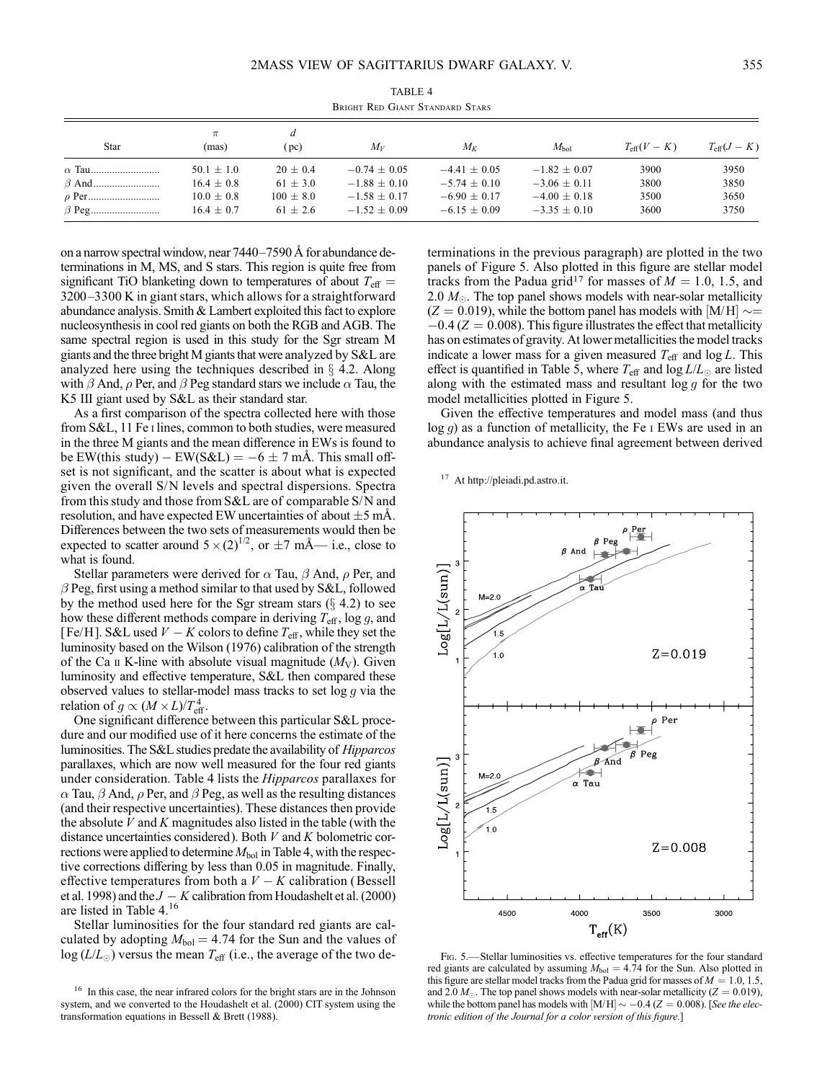| Star | $\pi$<br>(mas)                                                     | d<br>(pc)                                                   | $M_V$                                                                | $M_K$                                                                | $M_{\rm bol}$                                                        | $T_{\text{eff}}(V-K)$        | $T_{\text{eff}}(J-K)$        |
|------|--------------------------------------------------------------------|-------------------------------------------------------------|----------------------------------------------------------------------|----------------------------------------------------------------------|----------------------------------------------------------------------|------------------------------|------------------------------|
|      | $50.1 \pm 1.0$<br>$16.4 \pm 0.8$<br>$10.0 \pm 0.8$<br>$16.4 + 0.7$ | $20 \pm 0.4$<br>$61 \pm 3.0$<br>$100 \pm 8.0$<br>$61 + 2.6$ | $-0.74 + 0.05$<br>$-1.88 + 0.10$<br>$-1.58 + 0.17$<br>$-1.52 + 0.09$ | $-4.41 + 0.05$<br>$-5.74 + 0.10$<br>$-6.90 + 0.17$<br>$-6.15 + 0.09$ | $-1.82 + 0.07$<br>$-3.06 + 0.11$<br>$-4.00 + 0.18$<br>$-3.35 + 0.10$ | 3900<br>3800<br>3500<br>3600 | 3950<br>3850<br>3650<br>3750 |

TABLE 4 Bright Red Giant Standard Stars

on a narrow spectral window, near  $7440-7590 \text{ Å}$  for abundance determinations in M, MS, and S stars. This region is quite free from significant TiO blanketing down to temperatures of about  $T_{\text{eff}} =$ 3200-3300 K in giant stars, which allows for a straightforward abundance analysis. Smith & Lambert exploited this fact to explore nucleosynthesis in cool red giants on both the RGB and AGB. The same spectral region is used in this study for the Sgr stream M giants and the three bright M giants that were analyzed by S&L are analyzed here using the techniques described in  $\S$  4.2. Along with  $\beta$  And,  $\rho$  Per, and  $\beta$  Peg standard stars we include  $\alpha$  Tau, the K5 III giant used by S&L as their standard star.

As a first comparison of the spectra collected here with those from S&L, 11 Fe i lines, common to both studies, were measured in the three M giants and the mean difference in EWs is found to be EW(this study) – EW(S&L) =  $-6 \pm 7$  mÅ. This small offset is not significant, and the scatter is about what is expected given the overall S/N levels and spectral dispersions. Spectra from this study and those from S&L are of comparable S/N and resolution, and have expected EW uncertainties of about  $\pm 5$  mÅ. Differences between the two sets of measurements would then be expected to scatter around  $5 \times (2)^{1/2}$ , or  $\pm 7$  mÅ— i.e., close to what is found.

Stellar parameters were derived for  $\alpha$  Tau,  $\beta$  And,  $\rho$  Per, and  $\beta$  Peg, first using a method similar to that used by S&L, followed by the method used here for the Sgr stream stars  $(\S$  4.2) to see how these different methods compare in deriving  $T_{\text{eff}}$ , log g, and [Fe/H]. S&L used  $V - K$  colors to define  $T_{\text{eff}}$ , while they set the luminosity based on the Wilson (1976) calibration of the strength of the Ca  $\pi$  K-line with absolute visual magnitude  $(M_V)$ . Given luminosity and effective temperature, S&L then compared these observed values to stellar-model mass tracks to set  $\log g$  via the relation of  $g \propto (M \times L)/T_{\text{eff}}^4$ .

One significant difference between this particular S&L procedure and our modified use of it here concerns the estimate of the luminosities. The S&L studies predate the availability of Hipparcos parallaxes, which are now well measured for the four red giants under consideration. Table 4 lists the Hipparcos parallaxes for  $\alpha$  Tau,  $\beta$  And,  $\rho$  Per, and  $\beta$  Peg, as well as the resulting distances (and their respective uncertainties). These distances then provide the absolute  $V$  and  $K$  magnitudes also listed in the table (with the distance uncertainties considered). Both  $V$  and  $K$  bolometric corrections were applied to determine  $M_{bol}$  in Table 4, with the respective corrections differing by less than 0.05 in magnitude. Finally, effective temperatures from both a  $V - K$  calibration (Bessell et al. 1998) and the  $J - K$  calibration from Houdashelt et al. (2000) are listed in Table 4.<sup>16</sup>

Stellar luminosities for the four standard red giants are calculated by adopting  $M_{bol} = 4.74$  for the Sun and the values of  $log (L/L_{\odot})$  versus the mean  $T_{\text{eff}}$  (i.e., the average of the two de-

terminations in the previous paragraph) are plotted in the two panels of Figure 5. Also plotted in this figure are stellar model tracks from the Padua grid<sup>17</sup> for masses of  $M = 1.0, 1.5,$  and 2.0  $M_{\odot}$ . The top panel shows models with near-solar metallicity  $(Z = 0.019)$ , while the bottom panel has models with [M/H]  $\sim =$  $-0.4$  ( $Z = 0.008$ ). This figure illustrates the effect that metallicity has on estimates of gravity. At lower metallicities the model tracks indicate a lower mass for a given measured  $T_{\text{eff}}$  and log L. This effect is quantified in Table 5, where  $T_{\text{eff}}$  and log  $L/L_{\odot}$  are listed along with the estimated mass and resultant  $\log g$  for the two model metallicities plotted in Figure 5.

Given the effective temperatures and model mass (and thus  $log q$ ) as a function of metallicity, the Fe I EWs are used in an abundance analysis to achieve final agreement between derived

<sup>17</sup> At http://pleiadi.pd.astro.it.



Fig. 5.—Stellar luminosities vs. effective temperatures for the four standard red giants are calculated by assuming  $M_{bol} = 4.74$  for the Sun. Also plotted in this figure are stellar model tracks from the Padua grid for masses of  $M = 1.0, 1.5$ , and 2.0  $M_{\odot}$ . The top panel shows models with near-solar metallicity ( $Z = 0.019$ ), while the bottom panel has models with  $[M/H] \sim -0.4$  (Z = 0.008). [See the electronic edition of the Journal for a color version of this figure.]

<sup>&</sup>lt;sup>16</sup> In this case, the near infrared colors for the bright stars are in the Johnson system, and we converted to the Houdashelt et al. (2000) CIT system using the transformation equations in Bessell & Brett (1988).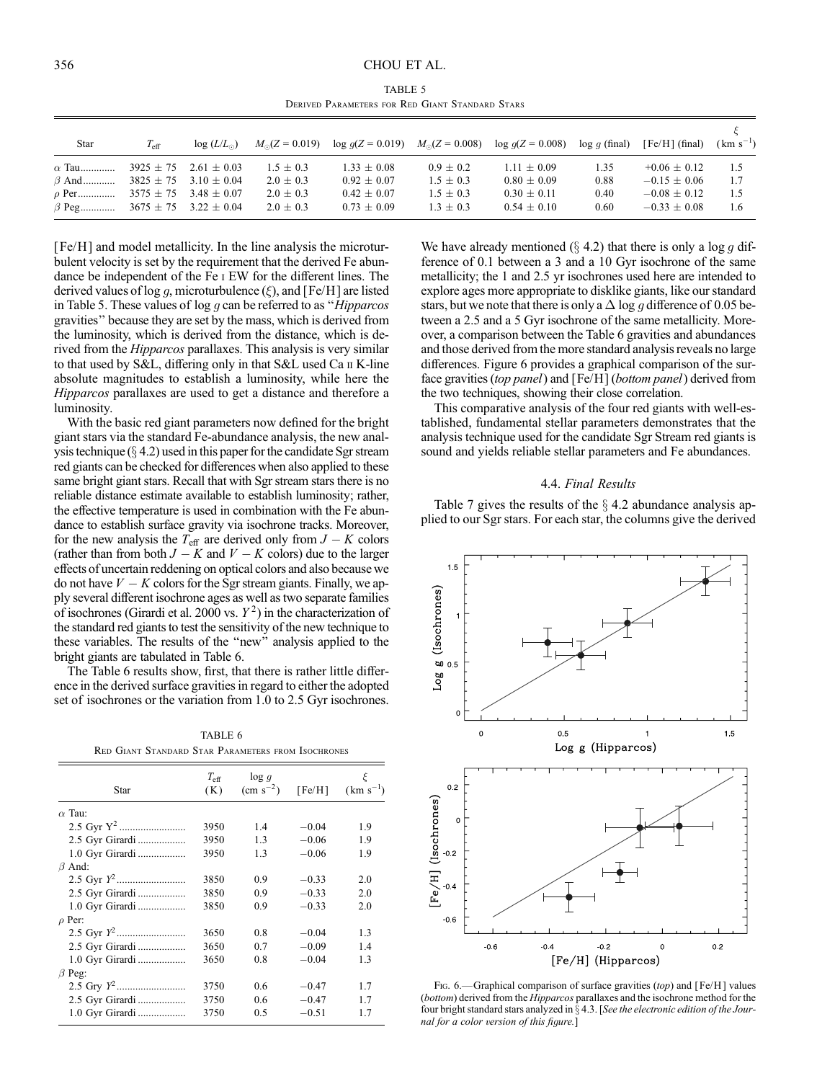### 356 CHOU ET AL.

TABLE 5 Derived Parameters for Red Giant Standard Stars

| Star                                      | $T_{\rm eff}$ | $\log(L/L_{\odot})$           | $M_{\odot}(Z=0.019)$ |                 |               | $\log q(Z = 0.019)$ $M_{\odot}(Z = 0.008)$ $\log q(Z = 0.008)$ | $log q$ (final) | $[Fe/H]$ (final) | $(km s^{-1})$ |
|-------------------------------------------|---------------|-------------------------------|----------------------|-----------------|---------------|----------------------------------------------------------------|-----------------|------------------|---------------|
| $\alpha$ Tau                              |               | $3925 \pm 75$ 2.61 $\pm$ 0.03 | $1.5 \pm 0.3$        | $1.33 \pm 0.08$ | $0.9 \pm 0.2$ | $1.11 \pm 0.09$                                                | 1.35            | $+0.06 + 0.12$   | 1.5           |
| $\beta$ And                               |               | $3825 \pm 75$ 3.10 $\pm$ 0.04 | $2.0 \pm 0.3$        | $0.92 + 0.07$   | $1.5 \pm 0.3$ | $0.80 + 0.09$                                                  | 0.88            | $-0.15 + 0.06$   | 1.7           |
| $\rho$ Per                                |               | $3575 \pm 75$ 3.48 $\pm$ 0.07 | $2.0 \pm 0.3$        | $0.42 + 0.07$   | $1.5 + 0.3$   | $0.30 + 0.11$                                                  | 0.40            | $-0.08 + 0.12$   | -1.5          |
| $\beta$ Peg 3675 $\pm$ 75 3.22 $\pm$ 0.04 |               |                               | $2.0 \pm 0.3$        | $0.73 + 0.09$   | $1.3 \pm 0.3$ | $0.54 \pm 0.10$                                                | 0.60            | $-0.33 + 0.08$   | 1.6           |

[Fe/H] and model metallicity. In the line analysis the microturbulent velocity is set by the requirement that the derived Fe abundance be independent of the Fe i EW for the different lines. The derived values of log q, microturbulence  $(\xi)$ , and [Fe/H] are listed in Table 5. These values of  $\log g$  can be referred to as "*Hipparcos*" gravities'' because they are set by the mass, which is derived from the luminosity, which is derived from the distance, which is derived from the Hipparcos parallaxes. This analysis is very similar to that used by S&L, differing only in that S&L used Ca ii K-line absolute magnitudes to establish a luminosity, while here the Hipparcos parallaxes are used to get a distance and therefore a luminosity.

With the basic red giant parameters now defined for the bright giant stars via the standard Fe-abundance analysis, the new analysis technique  $(\S 4.2)$  used in this paper for the candidate Sgr stream red giants can be checked for differences when also applied to these same bright giant stars. Recall that with Sgr stream stars there is no reliable distance estimate available to establish luminosity; rather, the effective temperature is used in combination with the Fe abundance to establish surface gravity via isochrone tracks. Moreover, for the new analysis the  $T_{\text{eff}}$  are derived only from  $J - K$  colors (rather than from both  $J - K$  and  $V - K$  colors) due to the larger effects of uncertain reddening on optical colors and also because we do not have  $V - K$  colors for the Sgr stream giants. Finally, we apply several different isochrone ages as well as two separate families of isochrones (Girardi et al. 2000 vs.  $Y^2$ ) in the characterization of the standard red giants to test the sensitivity of the new technique to these variables. The results of the ''new'' analysis applied to the bright giants are tabulated in Table 6.

The Table 6 results show, first, that there is rather little difference in the derived surface gravities in regard to either the adopted set of isochrones or the variation from 1.0 to 2.5 Gyr isochrones.

TABLE 6

| $T_{\rm eff}$<br>(K) | $\log g$<br>$\rm (cm \; s^{-2})$ | [Fe/H]  | ξ<br>$(km s^{-1})$                                        |
|----------------------|----------------------------------|---------|-----------------------------------------------------------|
|                      |                                  |         |                                                           |
| 3950                 | 1.4                              | $-0.04$ | 1.9                                                       |
| 3950                 | 1.3                              | $-0.06$ | 1.9                                                       |
| 3950                 | 1.3                              | $-0.06$ | 1.9                                                       |
|                      |                                  |         |                                                           |
| 3850                 | 0.9                              | $-0.33$ | 2.0                                                       |
| 3850                 | 0.9                              | $-0.33$ | 2.0                                                       |
| 3850                 | 0.9                              | $-0.33$ | 2.0                                                       |
|                      |                                  |         |                                                           |
| 3650                 | 08                               | $-0.04$ | 1.3                                                       |
| 3650                 | 0.7                              | $-0.09$ | 1.4                                                       |
| 3650                 | 0.8                              | $-0.04$ | 1.3                                                       |
|                      |                                  |         |                                                           |
| 3750                 | 0.6                              | $-0.47$ | 1.7                                                       |
| 3750                 | 06                               | $-0.47$ | 17                                                        |
| 3750                 | 0.5                              | $-0.51$ | 17                                                        |
|                      |                                  |         | <b>RED GIANT STANDARD STAR PARAMETERS FROM ISOCHRONES</b> |

We have already mentioned ( $\S$  4.2) that there is only a log g difference of 0.1 between a 3 and a 10 Gyr isochrone of the same metallicity; the 1 and 2.5 yr isochrones used here are intended to explore ages more appropriate to disklike giants, like our standard stars, but we note that there is only a  $\Delta \log g$  difference of 0.05 between a 2.5 and a 5 Gyr isochrone of the same metallicity. Moreover, a comparison between the Table 6 gravities and abundances and those derived from the more standard analysis reveals no large differences. Figure 6 provides a graphical comparison of the surface gravities (top panel) and [Fe/H] (bottom panel) derived from the two techniques, showing their close correlation.

This comparative analysis of the four red giants with well-established, fundamental stellar parameters demonstrates that the analysis technique used for the candidate Sgr Stream red giants is sound and yields reliable stellar parameters and Fe abundances.

# 4.4. Final Results

Table 7 gives the results of the  $\S$  4.2 abundance analysis applied to our Sgr stars. For each star, the columns give the derived



Fig. 6.—Graphical comparison of surface gravities (top) and  $[Fe/H]$  values (bottom) derived from the Hipparcos parallaxes and the isochrone method for the four bright standard stars analyzed in  $\S$  4.3. [See the electronic edition of the Journal for a color version of this figure.]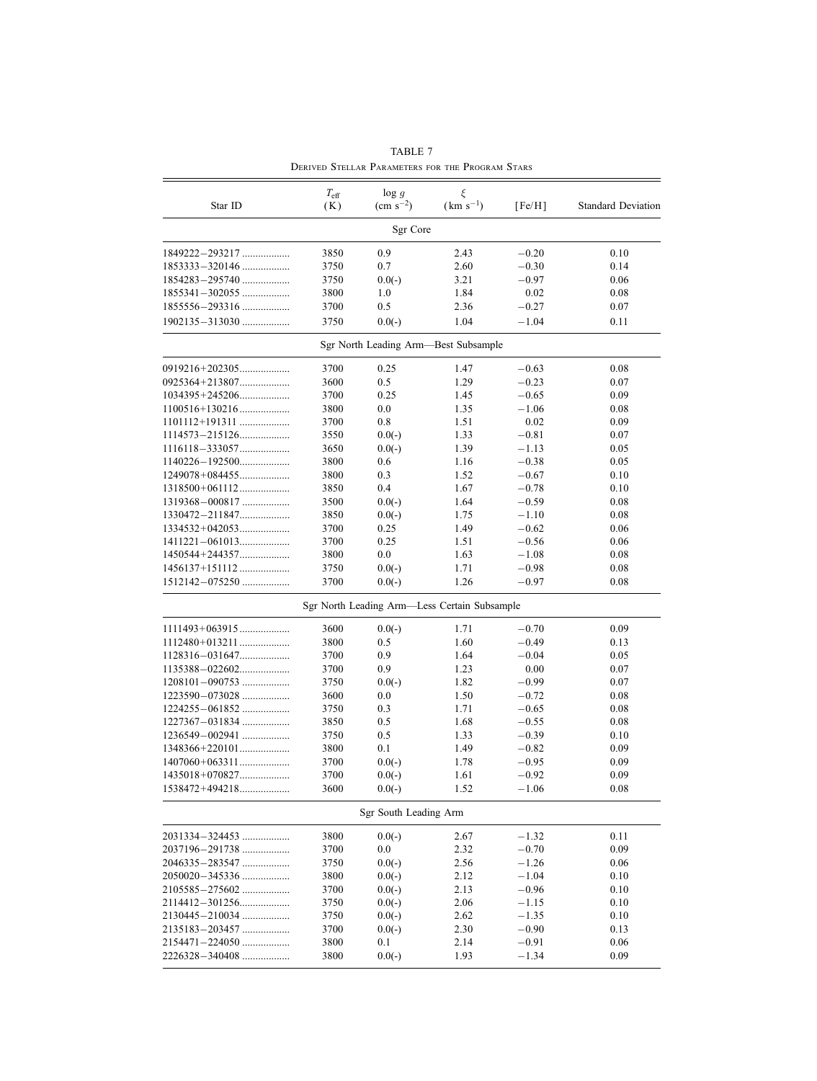|                    | $T_{\rm eff}$ | $\log g$              | ξ                                            |         |                           |
|--------------------|---------------|-----------------------|----------------------------------------------|---------|---------------------------|
| Star ID            | (K)           | $\rm (cm \; s^{-2})$  | $(km s^{-1})$                                | [Fe/H]  | <b>Standard Deviation</b> |
|                    |               | Sgr Core              |                                              |         |                           |
| 1849222-293217     | 3850          | 0.9                   | 2.43                                         | $-0.20$ | 0.10                      |
|                    | 3750          | 0.7                   | 2.60                                         | $-0.30$ | 0.14                      |
| 1854283-295740     | 3750          | $0.0(-)$              | 3.21                                         | $-0.97$ | 0.06                      |
| $1855341 - 302055$ | 3800          | 1.0                   | 1.84                                         | 0.02    | 0.08                      |
|                    | 3700          | 0.5                   | 2.36                                         | $-0.27$ | 0.07                      |
| 1902135-313030     | 3750          | $0.0(-)$              | 1.04                                         | $-1.04$ | 0.11                      |
|                    |               |                       | Sgr North Leading Arm-Best Subsample         |         |                           |
|                    | 3700          | 0.25                  | 1.47                                         | $-0.63$ | 0.08                      |
|                    | 3600          | 0.5                   | 1.29                                         | $-0.23$ | 0.07                      |
|                    | 3700          | 0.25                  | 1.45                                         | $-0.65$ | 0.09                      |
|                    | 3800          | 0.0                   | 1.35                                         | $-1.06$ | 0.08                      |
| 1101112+191311     | 3700          | 0.8                   | 1.51                                         | 0.02    | 0.09                      |
| 1114573-215126     | 3550          | $0.0(-)$              | 1.33                                         | $-0.81$ | 0.07                      |
|                    | 3650          | $0.0(-)$              | 1.39                                         | $-1.13$ | 0.05                      |
|                    | 3800          | 0.6                   | 1.16                                         | $-0.38$ | 0.05                      |
|                    | 3800          | 0.3                   | 1.52                                         | $-0.67$ | 0.10                      |
|                    | 3850          | 0.4                   | 1.67                                         | $-0.78$ | 0.10                      |
| $1319368 - 000817$ | 3500          | $0.0(-)$              | 1.64                                         | $-0.59$ | 0.08                      |
| 1330472-211847     | 3850          | $0.0(-)$              | 1.75                                         | $-1.10$ | 0.08                      |
|                    | 3700          | 0.25                  | 1.49                                         | $-0.62$ | 0.06                      |
|                    | 3700          | 0.25                  | 1.51                                         | $-0.56$ | 0.06                      |
| 1450544+244357     | 3800          | 0.0                   | 1.63                                         | $-1.08$ | 0.08                      |
| 1456137+151112     | 3750          | $0.0(-)$              | 1.71                                         | $-0.98$ | 0.08                      |
| 1512142-075250     | 3700          | $0.0(-)$              | 1.26                                         | $-0.97$ | 0.08                      |
|                    |               |                       | Sgr North Leading Arm-Less Certain Subsample |         |                           |
|                    | 3600          | $0.0(-)$              | 1.71                                         | $-0.70$ | 0.09                      |
| $1112480+013211$   | 3800          | 0.5                   | 1.60                                         | $-0.49$ | 0.13                      |
|                    | 3700          | 0.9                   | 1.64                                         | $-0.04$ | 0.05                      |
|                    | 3700          | 0.9                   | 1.23                                         | 0.00    | 0.07                      |
| $1208101 - 090753$ | 3750          | $0.0(-)$              | 1.82                                         | $-0.99$ | 0.07                      |
|                    | 3600          | 0.0                   | 1.50                                         | $-0.72$ | 0.08                      |
|                    | 3750          | 0.3                   | 1.71                                         | $-0.65$ | 0.08                      |
|                    | 3850          | 0.5                   | 1.68                                         | $-0.55$ | 0.08                      |
| 1236549-002941     | 3750          | 0.5                   | 1.33                                         | $-0.39$ | 0.10                      |
|                    | 3800          | 0.1                   | 1.49                                         | $-0.82$ | 0.09                      |
|                    | 3700          | $0.0(-)$              | 1.78                                         | $-0.95$ | 0.09                      |
| 1435018+070827     | 3700          | $0.0(-)$              | 1.61                                         | $-0.92$ | 0.09                      |
| 1538472+494218     | 3600          | $0.0(-)$              | 1.52                                         | $-1.06$ | 0.08                      |
|                    |               | Sgr South Leading Arm |                                              |         |                           |
| 2031334-324453     | 3800          | $0.0(-)$              | 2.67                                         | $-1.32$ | 0.11                      |
| 2037196-291738     | 3700          | 0.0                   | 2.32                                         | $-0.70$ | 0.09                      |
| 2046335-283547     | 3750          | $0.0(-)$              | 2.56                                         | $-1.26$ | 0.06                      |
|                    | 3800          | $0.0(-)$              | 2.12                                         | $-1.04$ | 0.10                      |
| 2105585-275602     | 3700          | $0.0(-)$              | 2.13                                         | $-0.96$ | 0.10                      |
|                    | 3750          | $0.0(-)$              | 2.06                                         | $-1.15$ | 0.10                      |
| 2130445-210034     | 3750          | $0.0(-)$              | 2.62                                         | $-1.35$ | 0.10                      |
| 2135183-203457     | 3700          | $0.0(-)$              | 2.30                                         | $-0.90$ | 0.13                      |
| 2154471-224050     | 3800          | 0.1                   | 2.14                                         | $-0.91$ | 0.06                      |
| 2226328-340408     | 3800          | $0.0(-)$              | 1.93                                         | $-1.34$ | 0.09                      |

TABLE 7 Derived Stellar Parameters for the Program Stars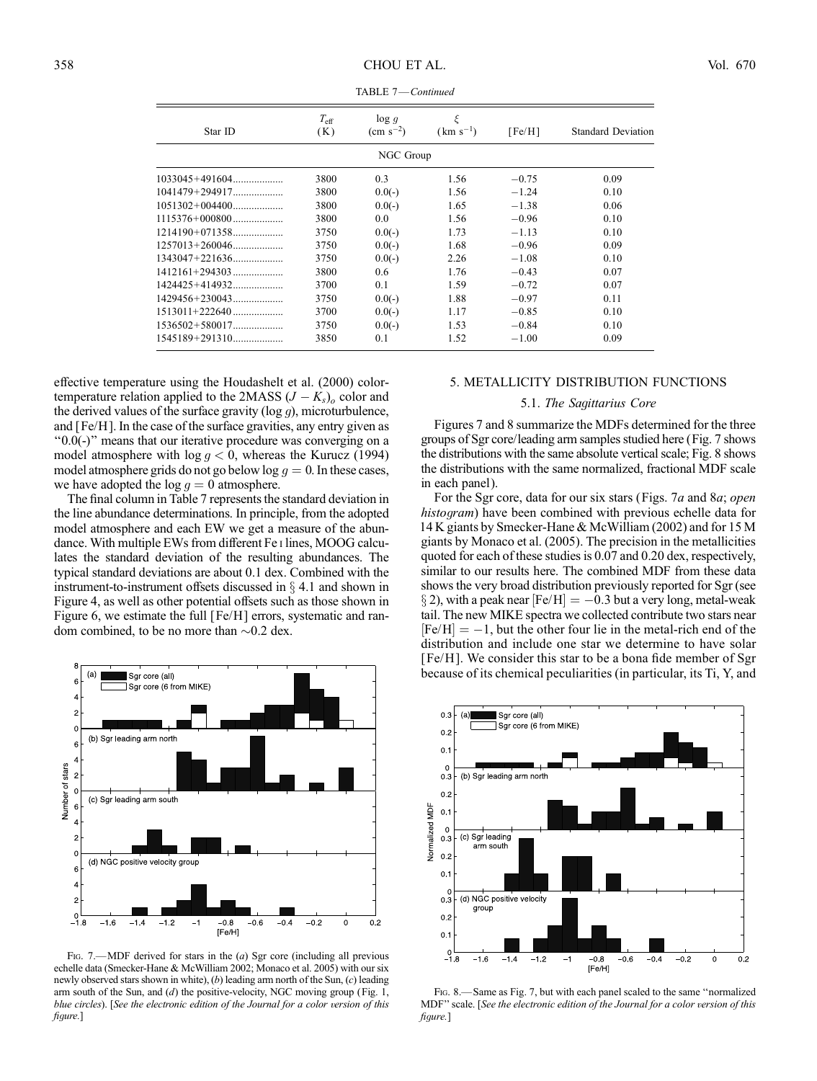| Star ID            | $T_{\rm eff}$<br>(K) | log q<br>$\rm (cm \; s^{-2})$ | ξ<br>$(km s^{-1})$ | [Fe/H]  | <b>Standard Deviation</b> |
|--------------------|----------------------|-------------------------------|--------------------|---------|---------------------------|
|                    |                      | NGC Group                     |                    |         |                           |
|                    | 3800                 | 0.3                           | 1.56               | $-0.75$ | 0.09                      |
|                    | 3800                 | $0.0(-)$                      | 1.56               | $-1.24$ | 0.10                      |
|                    | 3800                 | $0.0(-)$                      | 1.65               | $-1.38$ | 0.06                      |
|                    | 3800                 | 0.0                           | 1.56               | $-0.96$ | 0.10                      |
|                    | 3750                 | $0.0(-)$                      | 1.73               | $-1.13$ | 0.10                      |
|                    | 3750                 | $0.0(-)$                      | 1.68               | $-0.96$ | 0.09                      |
|                    | 3750                 | $0.0(-)$                      | 2.26               | $-1.08$ | 0.10                      |
|                    | 3800                 | 0.6                           | 1.76               | $-0.43$ | 0.07                      |
| $1424425 + 414932$ | 3700                 | 0.1                           | 1.59               | $-0.72$ | 0.07                      |
|                    | 3750                 | $0.0(-)$                      | 1.88               | $-0.97$ | 0.11                      |
|                    | 3700                 | $0.0(-)$                      | 1.17               | $-0.85$ | 0.10                      |
|                    | 3750                 | $0.0(-)$                      | 1.53               | $-0.84$ | 0.10                      |
|                    | 3850                 | 0.1                           | 1.52               | $-1.00$ | 0.09                      |
|                    |                      |                               |                    |         |                           |

TABLE 7—Continued

effective temperature using the Houdashelt et al. (2000) colortemperature relation applied to the 2MASS  $(J - K_s)$ <sub>o</sub> color and the derived values of the surface gravity ( $log g$ ), microturbulence, and [Fe/H]. In the case of the surface gravities, any entry given as ''0.0(-)'' means that our iterative procedure was converging on a model atmosphere with  $\log g < 0$ , whereas the Kurucz (1994) model atmosphere grids do not go below  $\log g = 0$ . In these cases, we have adopted the  $\log g = 0$  atmosphere.

The final column in Table 7 represents the standard deviation in the line abundance determinations. In principle, from the adopted model atmosphere and each EW we get a measure of the abundance. With multiple EWs from different Fe i lines, MOOG calculates the standard deviation of the resulting abundances. The typical standard deviations are about 0.1 dex. Combined with the instrument-to-instrument offsets discussed in  $\S$  4.1 and shown in Figure 4, as well as other potential offsets such as those shown in Figure 6, we estimate the full [Fe/H] errors, systematic and random combined, to be no more than  $\sim 0.2$  dex.



FIG. 7.  $-MDF$  derived for stars in the (a) Sgr core (including all previous echelle data (Smecker-Hane & McWilliam 2002; Monaco et al. 2005) with our six newly observed stars shown in white),  $(b)$  leading arm north of the Sun,  $(c)$  leading arm south of the Sun, and  $(d)$  the positive-velocity, NGC moving group (Fig. 1, blue circles). [See the electronic edition of the Journal for a color version of this figure.]

# 5. METALLICITY DISTRIBUTION FUNCTIONS

# 5.1. The Sagittarius Core

Figures 7 and 8 summarize the MDFs determined for the three groups of Sgr core/leading arm samples studied here (Fig. 7 shows the distributions with the same absolute vertical scale; Fig. 8 shows the distributions with the same normalized, fractional MDF scale in each panel).

For the Sgr core, data for our six stars (Figs. 7a and 8a; open histogram) have been combined with previous echelle data for 14 K giants by Smecker-Hane & McWilliam (2002) and for 15 M giants by Monaco et al. (2005). The precision in the metallicities quoted for each of these studies is 0.07 and 0.20 dex, respectively, similar to our results here. The combined MDF from these data shows the very broad distribution previously reported for Sgr (see § 2), with a peak near  $[Fe/H] = -0.3$  but a very long, metal-weak tail. The new MIKE spectra we collected contribute two stars near  $[Fe/H] = -1$ , but the other four lie in the metal-rich end of the distribution and include one star we determine to have solar [ Fe/H ]. We consider this star to be a bona fide member of Sgr because of its chemical peculiarities (in particular, its Ti, Y, and



Fig. 8.—Same as Fig. 7, but with each panel scaled to the same ''normalized MDF'' scale. [See the electronic edition of the Journal for a color version of this figure.]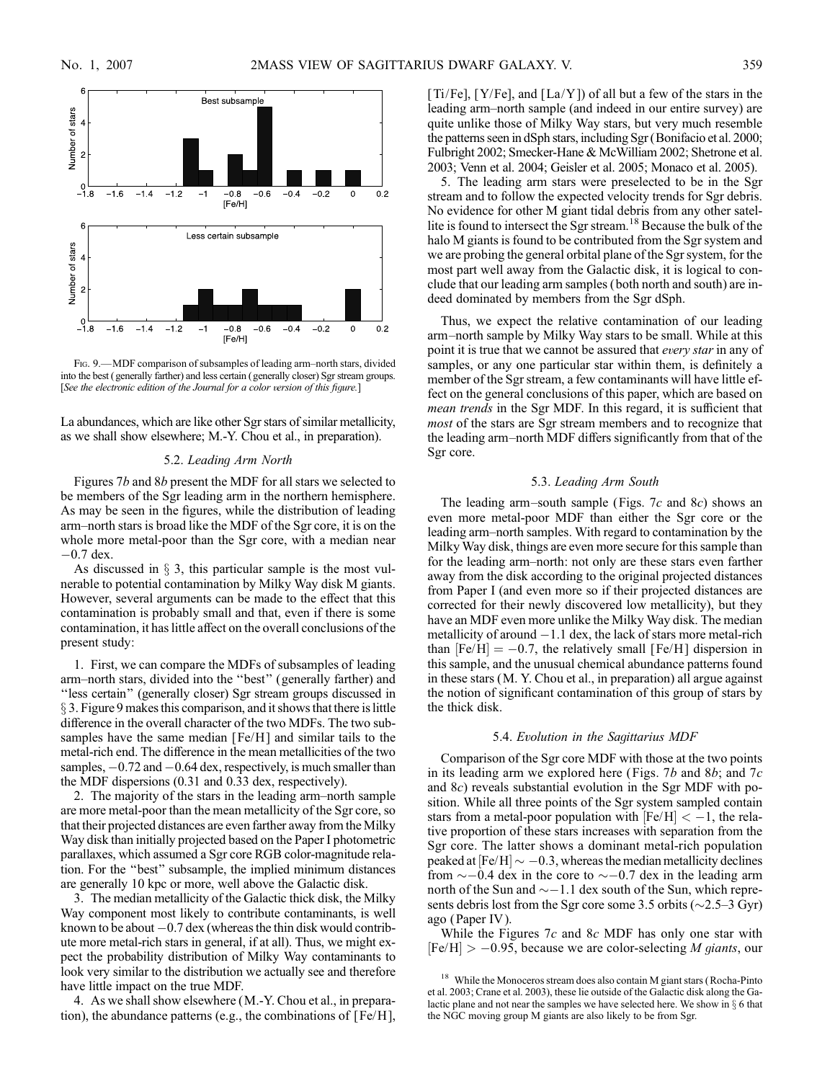

FIG. 9. - MDF comparison of subsamples of leading arm-north stars, divided into the best ( generally farther) and less certain ( generally closer) Sgr stream groups. [See the electronic edition of the Journal for a color version of this figure.]

La abundances, which are like other Sgr stars of similar metallicity, as we shall show elsewhere; M.-Y. Chou et al., in preparation).

### 5.2. Leading Arm North

Figures 7b and 8b present the MDF for all stars we selected to be members of the Sgr leading arm in the northern hemisphere. As may be seen in the figures, while the distribution of leading arm–north stars is broad like the MDF of the Sgr core, it is on the whole more metal-poor than the Sgr core, with a median near  $-0.7$  dex.

As discussed in  $\S$  3, this particular sample is the most vulnerable to potential contamination by Milky Way disk M giants. However, several arguments can be made to the effect that this contamination is probably small and that, even if there is some contamination, it has little affect on the overall conclusions of the present study:

1. First, we can compare the MDFs of subsamples of leading arm–north stars, divided into the "best" (generally farther) and ''less certain'' (generally closer) Sgr stream groups discussed in  $\S$  3. Figure 9 makes this comparison, and it shows that there is little difference in the overall character of the two MDFs. The two subsamples have the same median [Fe/H] and similar tails to the metal-rich end. The difference in the mean metallicities of the two samples,  $-0.72$  and  $-0.64$  dex, respectively, is much smaller than the MDF dispersions (0.31 and 0.33 dex, respectively).

2. The majority of the stars in the leading arm–north sample are more metal-poor than the mean metallicity of the Sgr core, so that their projected distances are even farther away from the Milky Way disk than initially projected based on the Paper I photometric parallaxes, which assumed a Sgr core RGB color-magnitude relation. For the ''best'' subsample, the implied minimum distances are generally 10 kpc or more, well above the Galactic disk.

3. The median metallicity of the Galactic thick disk, the Milky Way component most likely to contribute contaminants, is well known to be about  $-0.7$  dex (whereas the thin disk would contribute more metal-rich stars in general, if at all). Thus, we might expect the probability distribution of Milky Way contaminants to look very similar to the distribution we actually see and therefore have little impact on the true MDF.

4. As we shall show elsewhere (M.-Y. Chou et al., in preparation), the abundance patterns (e.g., the combinations of [Fe/H ], [Ti/Fe], [Y/Fe], and  $[La/Y]$ ] of all but a few of the stars in the leading arm-north sample (and indeed in our entire survey) are quite unlike those of Milky Way stars, but very much resemble the patterns seen in dSph stars, including Sgr (Bonifacio et al. 2000; Fulbright 2002; Smecker-Hane & McWilliam 2002; Shetrone et al. 2003; Venn et al. 2004; Geisler et al. 2005; Monaco et al. 2005).

5. The leading arm stars were preselected to be in the Sgr stream and to follow the expected velocity trends for Sgr debris. No evidence for other M giant tidal debris from any other satellite is found to intersect the Sgr stream.<sup>18</sup> Because the bulk of the halo M giants is found to be contributed from the Sgr system and we are probing the general orbital plane of the Sgr system, for the most part well away from the Galactic disk, it is logical to conclude that our leading arm samples (both north and south) are indeed dominated by members from the Sgr dSph.

Thus, we expect the relative contamination of our leading arm-north sample by Milky Way stars to be small. While at this point it is true that we cannot be assured that every star in any of samples, or any one particular star within them, is definitely a member of the Sgr stream, a few contaminants will have little effect on the general conclusions of this paper, which are based on mean trends in the Sgr MDF. In this regard, it is sufficient that most of the stars are Sgr stream members and to recognize that the leading arm-north MDF differs significantly from that of the Sgr core.

# 5.3. Leading Arm South

The leading arm-south sample (Figs. 7c and 8c) shows an even more metal-poor MDF than either the Sgr core or the leading arm–north samples. With regard to contamination by the Milky Way disk, things are even more secure for this sample than for the leading arm–north: not only are these stars even farther away from the disk according to the original projected distances from Paper I (and even more so if their projected distances are corrected for their newly discovered low metallicity), but they have an MDF even more unlike the Milky Way disk. The median metallicity of around  $-1.1$  dex, the lack of stars more metal-rich than  $[Fe/H] = -0.7$ , the relatively small  $[Fe/H]$  dispersion in this sample, and the unusual chemical abundance patterns found in these stars (M. Y. Chou et al., in preparation) all argue against the notion of significant contamination of this group of stars by the thick disk.

#### 5.4. Evolution in the Sagittarius MDF

Comparison of the Sgr core MDF with those at the two points in its leading arm we explored here (Figs. 7b and 8b; and  $7c$ and 8c) reveals substantial evolution in the Sgr MDF with position. While all three points of the Sgr system sampled contain stars from a metal-poor population with  $[Fe/H] < -1$ , the relative proportion of these stars increases with separation from the Sgr core. The latter shows a dominant metal-rich population peaked at [Fe/H]  $\sim -0.3$ , whereas the median metallicity declines from  $\sim$  -0.4 dex in the core to  $\sim$  -0.7 dex in the leading arm north of the Sun and  $\sim$  -1.1 dex south of the Sun, which represents debris lost from the Sgr core some 3.5 orbits ( $\sim$ 2.5–3 Gyr) ago (Paper IV ).

While the Figures  $7c$  and  $8c$  MDF has only one star with  $[Fe/H] > -0.95$ , because we are color-selecting *M giants*, our

<sup>&</sup>lt;sup>18</sup> While the Monoceros stream does also contain M giant stars (Rocha-Pinto et al. 2003; Crane et al. 2003), these lie outside of the Galactic disk along the Galactic plane and not near the samples we have selected here. We show in  $\S$  6 that the NGC moving group M giants are also likely to be from Sgr.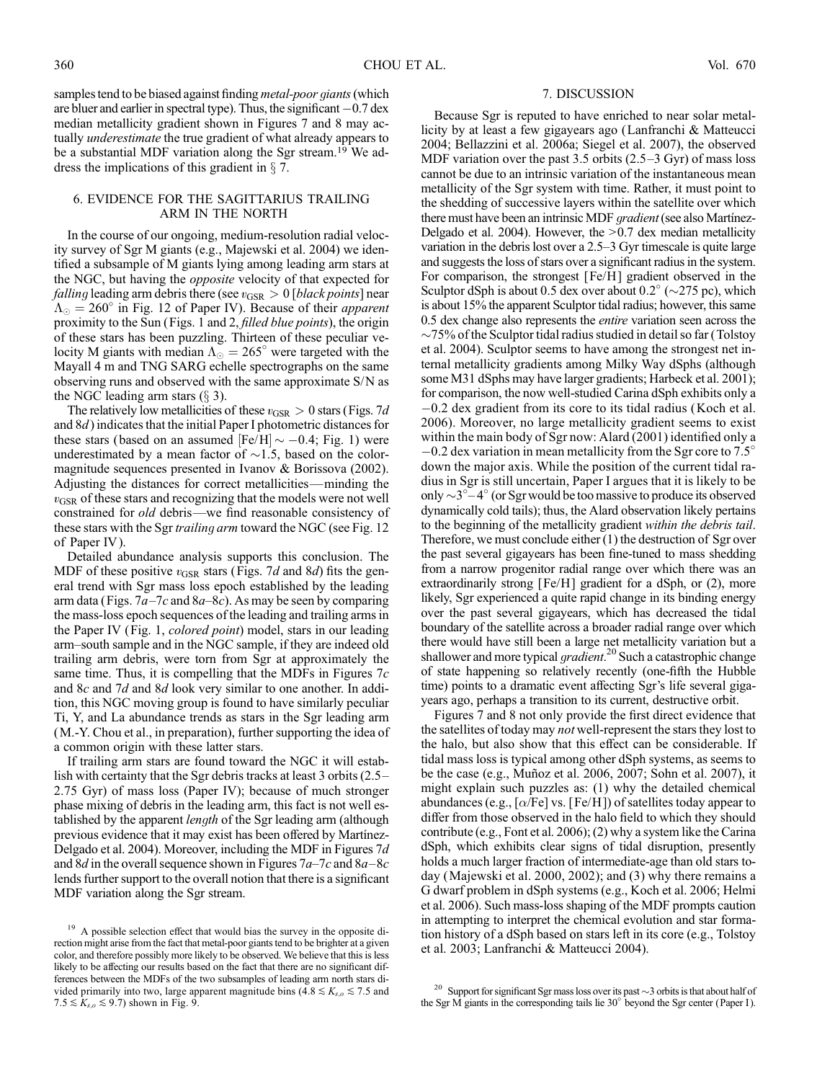samples tend to be biased against finding *metal-poor giants* (which are bluer and earlier in spectral type). Thus, the significant  $-0.7$  dex median metallicity gradient shown in Figures 7 and 8 may actually underestimate the true gradient of what already appears to be a substantial MDF variation along the Sgr stream.<sup>19</sup> We address the implications of this gradient in  $\S$  7.

# 6. EVIDENCE FOR THE SAGITTARIUS TRAILING ARM IN THE NORTH

In the course of our ongoing, medium-resolution radial velocity survey of Sgr M giants (e.g., Majewski et al. 2004) we identified a subsample of M giants lying among leading arm stars at the NGC, but having the opposite velocity of that expected for *falling* leading arm debris there (see  $v_{\text{GSR}} > 0$  [black points] near  $\Lambda_{\odot} = 260^{\circ}$  in Fig. 12 of Paper IV). Because of their *apparent* proximity to the Sun (Figs. 1 and 2, *filled blue points*), the origin of these stars has been puzzling. Thirteen of these peculiar velocity M giants with median  $\Lambda_{\odot} = 265^{\circ}$  were targeted with the Mayall 4 m and TNG SARG echelle spectrographs on the same observing runs and observed with the same approximate S/N as the NGC leading arm stars  $(\S 3)$ .

The relatively low metallicities of these  $v_{\text{GSR}} > 0$  stars (Figs. 7d) and 8d) indicates that the initial Paper I photometric distances for these stars (based on an assumed  $[Fe/H] \sim -0.4$ ; Fig. 1) were underestimated by a mean factor of  $\sim$ 1.5, based on the colormagnitude sequences presented in Ivanov & Borissova (2002). Adjusting the distances for correct metallicities—minding the  $v_{\text{GSR}}$  of these stars and recognizing that the models were not well constrained for old debris—we find reasonable consistency of these stars with the Sgr *trailing arm* toward the NGC (see Fig. 12) of Paper IV ).

Detailed abundance analysis supports this conclusion. The MDF of these positive  $v_{\text{GSR}}$  stars (Figs. 7d and 8d) fits the general trend with Sgr mass loss epoch established by the leading arm data (Figs.  $7a-7c$  and  $8a-8c$ ). As may be seen by comparing the mass-loss epoch sequences of the leading and trailing arms in the Paper IV (Fig. 1, colored point) model, stars in our leading arm-south sample and in the NGC sample, if they are indeed old trailing arm debris, were torn from Sgr at approximately the same time. Thus, it is compelling that the MDFs in Figures  $7c$ and 8c and 7d and 8d look very similar to one another. In addition, this NGC moving group is found to have similarly peculiar Ti, Y, and La abundance trends as stars in the Sgr leading arm (M.-Y. Chou et al., in preparation), further supporting the idea of a common origin with these latter stars.

If trailing arm stars are found toward the NGC it will establish with certainty that the Sgr debris tracks at least 3 orbits  $(2.5 -$ 2.75 Gyr) of mass loss (Paper IV); because of much stronger phase mixing of debris in the leading arm, this fact is not well established by the apparent *length* of the Sgr leading arm (although previous evidence that it may exist has been offered by Martínez-Delgado et al. 2004). Moreover, including the MDF in Figures 7d and 8d in the overall sequence shown in Figures  $7a-7c$  and  $8a-8c$ lends further support to the overall notion that there is a significant MDF variation along the Sgr stream.

## 7. DISCUSSION

Because Sgr is reputed to have enriched to near solar metallicity by at least a few gigayears ago (Lanfranchi & Matteucci 2004; Bellazzini et al. 2006a; Siegel et al. 2007), the observed MDF variation over the past 3.5 orbits  $(2.5-3 \text{ Gyr})$  of mass loss cannot be due to an intrinsic variation of the instantaneous mean metallicity of the Sgr system with time. Rather, it must point to the shedding of successive layers within the satellite over which there must have been an intrinsic MDF *gradient* (see also Martínez-Delgado et al. 2004). However, the  $> 0.7$  dex median metallicity variation in the debris lost over a  $2.5-3$  Gyr timescale is quite large and suggests the loss of stars over a significant radius in the system. For comparison, the strongest [Fe/H] gradient observed in the Sculptor dSph is about 0.5 dex over about 0.2 $^{\circ}$  ( $\sim$ 275 pc), which is about 15% the apparent Sculptor tidal radius; however, this same 0.5 dex change also represents the entire variation seen across the  $\sim$ 75% of the Sculptor tidal radius studied in detail so far (Tolstoy et al. 2004). Sculptor seems to have among the strongest net internal metallicity gradients among Milky Way dSphs (although some M31 dSphs may have larger gradients; Harbeck et al. 2001); for comparison, the now well-studied Carina dSph exhibits only a  $-0.2$  dex gradient from its core to its tidal radius (Koch et al. 2006). Moreover, no large metallicity gradient seems to exist within the main body of Sgr now: Alard (2001) identified only a  $-0.2$  dex variation in mean metallicity from the Sgr core to 7.5 $^{\circ}$ down the major axis. While the position of the current tidal radius in Sgr is still uncertain, Paper I argues that it is likely to be only  $\sim$  3<sup>° $-$ </sup> 4<sup>°</sup> (or Sgr would be too massive to produce its observed dynamically cold tails); thus, the Alard observation likely pertains to the beginning of the metallicity gradient within the debris tail. Therefore, we must conclude either (1) the destruction of Sgr over the past several gigayears has been fine-tuned to mass shedding from a narrow progenitor radial range over which there was an extraordinarily strong [Fe/H] gradient for a dSph, or (2), more likely, Sgr experienced a quite rapid change in its binding energy over the past several gigayears, which has decreased the tidal boundary of the satellite across a broader radial range over which there would have still been a large net metallicity variation but a shallower and more typical gradient.<sup>20</sup> Such a catastrophic change of state happening so relatively recently (one-fifth the Hubble time) points to a dramatic event affecting Sgr's life several gigayears ago, perhaps a transition to its current, destructive orbit.

Figures 7 and 8 not only provide the first direct evidence that the satellites of today may *not* well-represent the stars they lost to the halo, but also show that this effect can be considerable. If tidal mass loss is typical among other dSph systems, as seems to be the case (e.g., Muñoz et al. 2006, 2007; Sohn et al. 2007), it might explain such puzzles as: (1) why the detailed chemical abundances (e.g.,  $\lceil \alpha/Fe \rceil$  vs. [Fe/H]) of satellites today appear to differ from those observed in the halo field to which they should contribute (e.g., Font et al. 2006); (2) why a system like the Carina dSph, which exhibits clear signs of tidal disruption, presently holds a much larger fraction of intermediate-age than old stars today (Majewski et al. 2000, 2002); and (3) why there remains a G dwarf problem in dSph systems (e.g., Koch et al. 2006; Helmi et al. 2006). Such mass-loss shaping of the MDF prompts caution in attempting to interpret the chemical evolution and star formation history of a dSph based on stars left in its core (e.g., Tolstoy et al. 2003; Lanfranchi & Matteucci 2004).

<sup>&</sup>lt;sup>19</sup> A possible selection effect that would bias the survey in the opposite direction might arise from the fact that metal-poor giants tend to be brighter at a given color, and therefore possibly more likely to be observed. We believe that this is less likely to be affecting our results based on the fact that there are no significant differences between the MDFs of the two subsamples of leading arm north stars divided primarily into two, large apparent magnitude bins (4.8  $\le K_{s,o} \le 7.5$  and  $7.5 \le K_{s,o} \le 9.7$ ) shown in Fig. 9.

<sup>&</sup>lt;sup>20</sup> Support for significant Sgr mass loss over its past  $\sim$  3 orbits is that about half of the Sgr M giants in the corresponding tails lie  $30^{\circ}$  beyond the Sgr center (Paper I).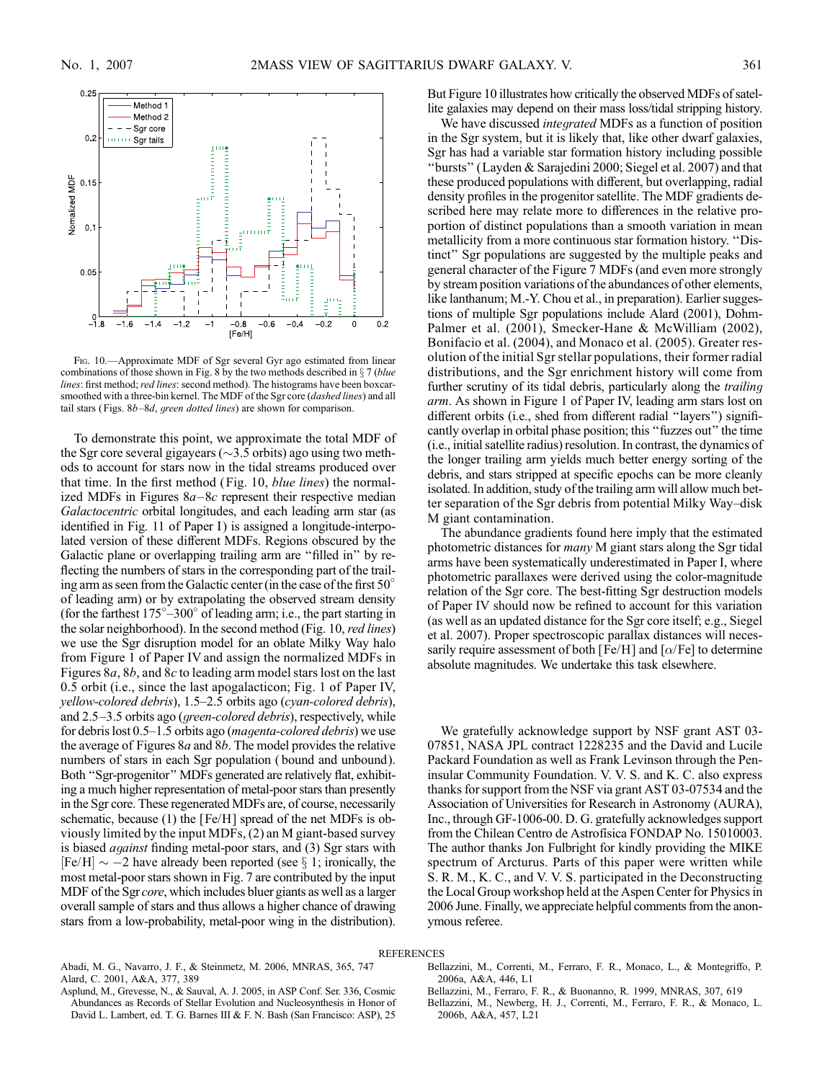

Fig. 10.—Approximate MDF of Sgr several Gyr ago estimated from linear combinations of those shown in Fig. 8 by the two methods described in  $\S 7$  (blue lines: first method; red lines: second method). The histograms have been boxcarsmoothed with a three-bin kernel. The MDF of the Sgr core (dashed lines) and all tail stars (Figs.  $8b-8d$ , green dotted lines) are shown for comparison.

To demonstrate this point, we approximate the total MDF of the Sgr core several gigayears ( $\sim$ 3.5 orbits) ago using two methods to account for stars now in the tidal streams produced over that time. In the first method (Fig. 10, blue lines) the normalized MDFs in Figures  $8a-8c$  represent their respective median Galactocentric orbital longitudes, and each leading arm star (as identified in Fig. 11 of Paper I) is assigned a longitude-interpolated version of these different MDFs. Regions obscured by the Galactic plane or overlapping trailing arm are ''filled in'' by reflecting the numbers of stars in the corresponding part of the trailing arm as seen from the Galactic center (in the case of the first 50° of leading arm) or by extrapolating the observed stream density (for the farthest  $175^{\circ} - 300^{\circ}$  of leading arm; i.e., the part starting in the solar neighborhood). In the second method (Fig. 10, red lines) we use the Sgr disruption model for an oblate Milky Way halo from Figure 1 of Paper IV and assign the normalized MDFs in Figures 8a, 8b, and 8c to leading arm model stars lost on the last 0.5 orbit (i.e., since the last apogalacticon; Fig. 1 of Paper IV,  $yellow$ -colored debris), 1.5–2.5 orbits ago (cyan-colored debris), and  $2.5-3.5$  orbits ago (*green-colored debris*), respectively, while for debris lost  $0.5-1.5$  orbits ago (*magenta-colored debris*) we use the average of Figures  $8a$  and  $8b$ . The model provides the relative numbers of stars in each Sgr population ( bound and unbound). Both ''Sgr-progenitor'' MDFs generated are relatively flat, exhibiting a much higher representation of metal-poor stars than presently in the Sgr core. These regenerated MDFs are, of course, necessarily schematic, because (1) the [Fe/H] spread of the net MDFs is obviously limited by the input MDFs, (2) an M giant-based survey is biased against finding metal-poor stars, and (3) Sgr stars with  $[Fe/H] \sim -2$  have already been reported (see  $\S 1$ ; ironically, the most metal-poor stars shown in Fig. 7 are contributed by the input MDF of the Sgr core, which includes bluer giants as well as a larger overall sample of stars and thus allows a higher chance of drawing stars from a low-probability, metal-poor wing in the distribution). But Figure 10 illustrates how critically the observed MDFs of satellite galaxies may depend on their mass loss/tidal stripping history.

We have discussed integrated MDFs as a function of position in the Sgr system, but it is likely that, like other dwarf galaxies, Sgr has had a variable star formation history including possible ''bursts'' (Layden & Sarajedini 2000; Siegel et al. 2007) and that these produced populations with different, but overlapping, radial density profiles in the progenitor satellite. The MDF gradients described here may relate more to differences in the relative proportion of distinct populations than a smooth variation in mean metallicity from a more continuous star formation history. ''Distinct'' Sgr populations are suggested by the multiple peaks and general character of the Figure 7 MDFs (and even more strongly by stream position variations of the abundances of other elements, like lanthanum; M.-Y. Chou et al., in preparation). Earlier suggestions of multiple Sgr populations include Alard (2001), Dohm-Palmer et al. (2001), Smecker-Hane & McWilliam (2002), Bonifacio et al. (2004), and Monaco et al. (2005). Greater resolution of the initial Sgr stellar populations, their former radial distributions, and the Sgr enrichment history will come from further scrutiny of its tidal debris, particularly along the *trailing* arm. As shown in Figure 1 of Paper IV, leading arm stars lost on different orbits (i.e., shed from different radial ''layers'') significantly overlap in orbital phase position; this ''fuzzes out'' the time (i.e., initial satellite radius) resolution. In contrast, the dynamics of the longer trailing arm yields much better energy sorting of the debris, and stars stripped at specific epochs can be more cleanly isolated. In addition, study of the trailing arm will allow much better separation of the Sgr debris from potential Milky Way-disk M giant contamination.

The abundance gradients found here imply that the estimated photometric distances for many M giant stars along the Sgr tidal arms have been systematically underestimated in Paper I, where photometric parallaxes were derived using the color-magnitude relation of the Sgr core. The best-fitting Sgr destruction models of Paper IV should now be refined to account for this variation (as well as an updated distance for the Sgr core itself; e.g., Siegel et al. 2007). Proper spectroscopic parallax distances will necessarily require assessment of both [Fe/H] and  $[\alpha/Fe]$  to determine absolute magnitudes. We undertake this task elsewhere.

We gratefully acknowledge support by NSF grant AST 03- 07851, NASA JPL contract 1228235 and the David and Lucile Packard Foundation as well as Frank Levinson through the Peninsular Community Foundation. V. V. S. and K. C. also express thanks for support from the NSF via grant AST 03-07534 and the Association of Universities for Research in Astronomy (AURA), Inc., through GF-1006-00. D. G. gratefully acknowledges support from the Chilean Centro de Astrofísica FONDAP No. 15010003. The author thanks Jon Fulbright for kindly providing the MIKE spectrum of Arcturus. Parts of this paper were written while S. R. M., K. C., and V. V. S. participated in the Deconstructing the Local Group workshop held at the Aspen Center for Physics in 2006 June. Finally, we appreciate helpful comments from the anonymous referee.

### **REFERENCES**

Abadi, M. G., Navarro, J. F., & Steinmetz, M. 2006, MNRAS, 365, 747 Alard, C. 2001, A&A, 377, 389

Asplund, M., Grevesse, N., & Sauval, A. J. 2005, in ASP Conf. Ser. 336, Cosmic Abundances as Records of Stellar Evolution and Nucleosynthesis in Honor of David L. Lambert, ed. T. G. Barnes III & F. N. Bash (San Francisco: ASP), 25

- Bellazzini, M., Correnti, M., Ferraro, F. R., Monaco, L., & Montegriffo, P. 2006a, A&A, 446, L1
- Bellazzini, M., Ferraro, F. R., & Buonanno, R. 1999, MNRAS, 307, 619
- Bellazzini, M., Newberg, H. J., Correnti, M., Ferraro, F. R., & Monaco, L. 2006b, A&A, 457, L21